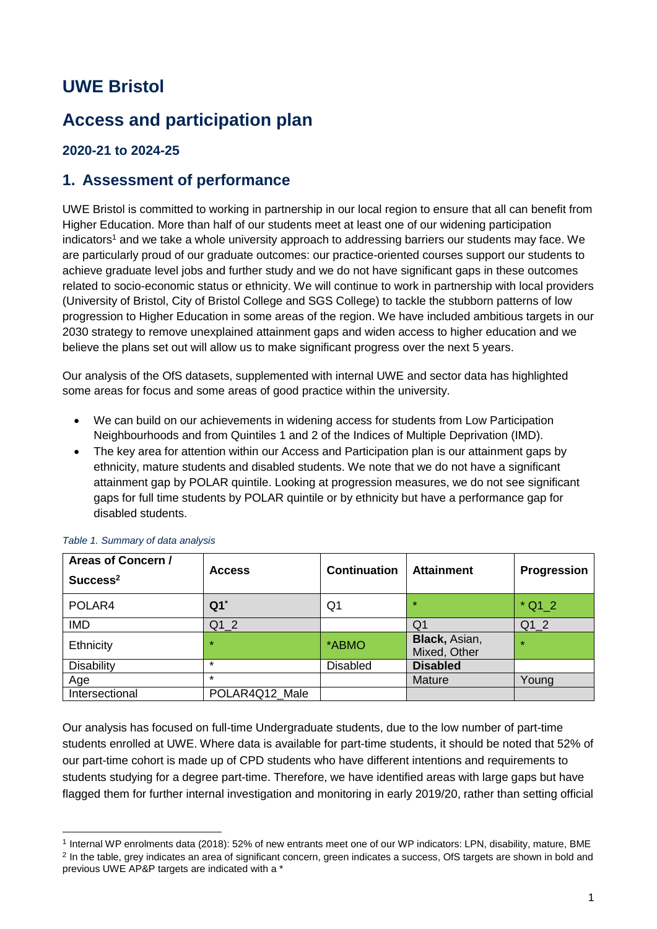## **UWE Bristol**

## **Access and participation plan**

#### **2020-21 to 2024-25**

#### **1. Assessment of performance**

UWE Bristol is committed to working in partnership in our local region to ensure that all can benefit from Higher Education. More than half of our students meet at least one of our widening participation indicators<sup>1</sup> and we take a whole university approach to addressing barriers our students may face. We are particularly proud of our graduate outcomes: our practice-oriented courses support our students to achieve graduate level jobs and further study and we do not have significant gaps in these outcomes related to socio-economic status or ethnicity. We will continue to work in partnership with local providers (University of Bristol, City of Bristol College and SGS College) to tackle the stubborn patterns of low progression to Higher Education in some areas of the region. We have included ambitious targets in our 2030 strategy to remove unexplained attainment gaps and widen access to higher education and we believe the plans set out will allow us to make significant progress over the next 5 years.

Our analysis of the OfS datasets, supplemented with internal UWE and sector data has highlighted some areas for focus and some areas of good practice within the university.

- We can build on our achievements in widening access for students from Low Participation Neighbourhoods and from Quintiles 1 and 2 of the Indices of Multiple Deprivation (IMD).
- The key area for attention within our Access and Participation plan is our attainment gaps by ethnicity, mature students and disabled students. We note that we do not have a significant attainment gap by POLAR quintile. Looking at progression measures, we do not see significant gaps for full time students by POLAR quintile or by ethnicity but have a performance gap for disabled students.

| Areas of Concern /<br>Success <sup>2</sup> | <b>Access</b>     | <b>Continuation</b> | <b>Attainment</b>             | Progression |
|--------------------------------------------|-------------------|---------------------|-------------------------------|-------------|
| POLAR4                                     | $Q1$ <sup>*</sup> | Q1                  | $\star$                       | $*$ Q1 2    |
| <b>IMD</b>                                 | Q1 2              |                     | Q1                            | Q1 2        |
| Ethnicity                                  | $\star$           | *ABMO               | Black, Asian,<br>Mixed, Other | $\star$     |
| Disability                                 | $\star$           | <b>Disabled</b>     | <b>Disabled</b>               |             |
| Age                                        | $\star$           |                     | Mature                        | Young       |
| Intersectional                             | POLAR4Q12 Male    |                     |                               |             |

#### *Table 1. Summary of data analysis*

-

Our analysis has focused on full-time Undergraduate students, due to the low number of part-time students enrolled at UWE. Where data is available for part-time students, it should be noted that 52% of our part-time cohort is made up of CPD students who have different intentions and requirements to students studying for a degree part-time. Therefore, we have identified areas with large gaps but have flagged them for further internal investigation and monitoring in early 2019/20, rather than setting official

<sup>1</sup> Internal WP enrolments data (2018): 52% of new entrants meet one of our WP indicators: LPN, disability, mature, BME <sup>2</sup> In the table, grey indicates an area of significant concern, green indicates a success, OfS targets are shown in bold and previous UWE AP&P targets are indicated with a \*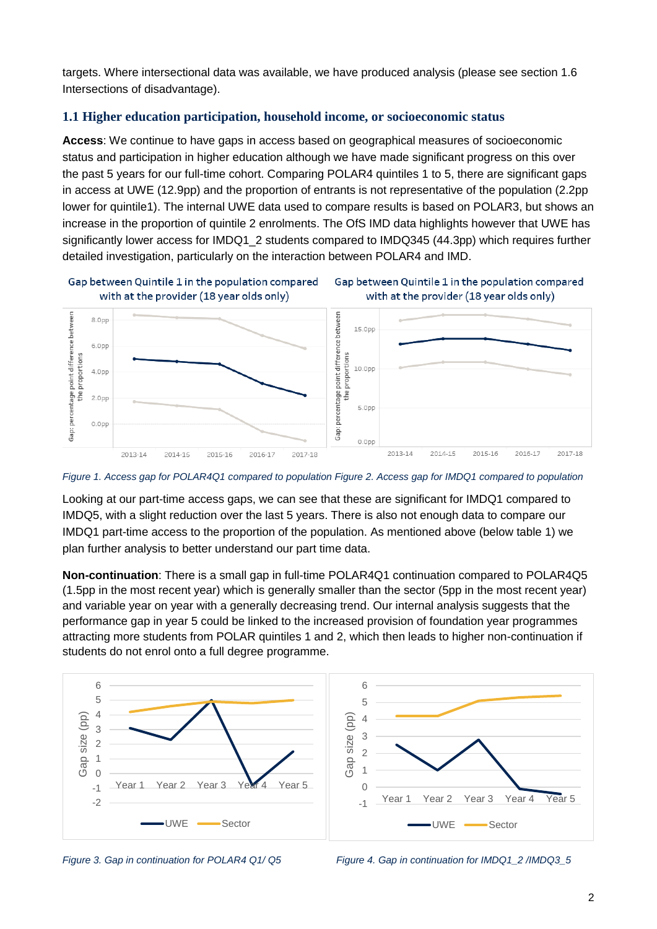targets. Where intersectional data was available, we have produced analysis (please see section 1.6 Intersections of disadvantage).

#### **1.1 Higher education participation, household income, or socioeconomic status**

**Access**: We continue to have gaps in access based on geographical measures of socioeconomic status and participation in higher education although we have made significant progress on this over the past 5 years for our full-time cohort. Comparing POLAR4 quintiles 1 to 5, there are significant gaps in access at UWE (12.9pp) and the proportion of entrants is not representative of the population (2.2pp lower for quintile1). The internal UWE data used to compare results is based on POLAR3, but shows an increase in the proportion of quintile 2 enrolments. The OfS IMD data highlights however that UWE has significantly lower access for IMDQ1\_2 students compared to IMDQ345 (44.3pp) which requires further detailed investigation, particularly on the interaction between POLAR4 and IMD.







*Figure 1. Access gap for POLAR4Q1 compared to population Figure 2. Access gap for IMDQ1 compared to population*

Looking at our part-time access gaps, we can see that these are significant for IMDQ1 compared to IMDQ5, with a slight reduction over the last 5 years. There is also not enough data to compare our IMDQ1 part-time access to the proportion of the population. As mentioned above (below table 1) we plan further analysis to better understand our part time data.

**Non-continuation**: There is a small gap in full-time POLAR4Q1 continuation compared to POLAR4Q5 (1.5pp in the most recent year) which is generally smaller than the sector (5pp in the most recent year) and variable year on year with a generally decreasing trend. Our internal analysis suggests that the performance gap in year 5 could be linked to the increased provision of foundation year programmes attracting more students from POLAR quintiles 1 and 2, which then leads to higher non-continuation if students do not enrol onto a full degree programme.





*Figure 3. Gap in continuation for POLAR4 Q1/ Q5 Figure 4. Gap in continuation for IMDQ1\_2 /IMDQ3\_5*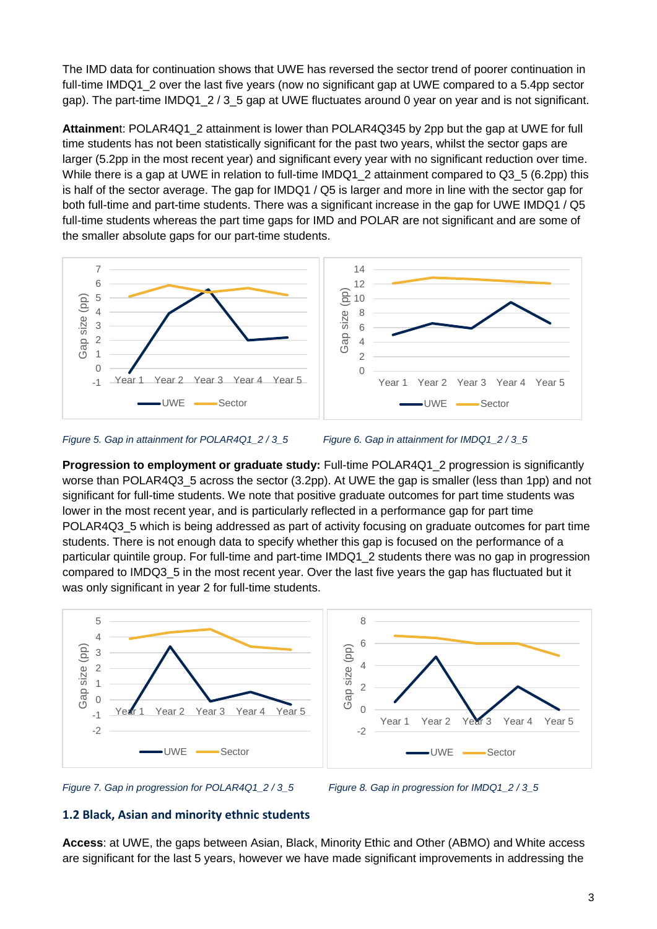The IMD data for continuation shows that UWE has reversed the sector trend of poorer continuation in full-time IMDQ1\_2 over the last five years (now no significant gap at UWE compared to a 5.4pp sector gap). The part-time IMDQ1\_2 / 3\_5 gap at UWE fluctuates around 0 year on year and is not significant.

**Attainmen**t: POLAR4Q1\_2 attainment is lower than POLAR4Q345 by 2pp but the gap at UWE for full time students has not been statistically significant for the past two years, whilst the sector gaps are larger (5.2pp in the most recent year) and significant every year with no significant reduction over time. While there is a gap at UWE in relation to full-time IMDQ1\_2 attainment compared to Q3\_5 (6.2pp) this is half of the sector average. The gap for IMDQ1 / Q5 is larger and more in line with the sector gap for both full-time and part-time students. There was a significant increase in the gap for UWE IMDQ1 / Q5 full-time students whereas the part time gaps for IMD and POLAR are not significant and are some of the smaller absolute gaps for our part-time students.





**Progression to employment or graduate study:** Full-time POLAR4Q1 2 progression is significantly worse than POLAR4Q3\_5 across the sector (3.2pp). At UWE the gap is smaller (less than 1pp) and not significant for full-time students. We note that positive graduate outcomes for part time students was lower in the most recent year, and is particularly reflected in a performance gap for part time POLAR4Q3 5 which is being addressed as part of activity focusing on graduate outcomes for part time students. There is not enough data to specify whether this gap is focused on the performance of a particular quintile group. For full-time and part-time IMDQ1\_2 students there was no gap in progression compared to IMDQ3\_5 in the most recent year. Over the last five years the gap has fluctuated but it was only significant in year 2 for full-time students.





#### **1.2 Black, Asian and minority ethnic students**

**Access**: at UWE, the gaps between Asian, Black, Minority Ethic and Other (ABMO) and White access are significant for the last 5 years, however we have made significant improvements in addressing the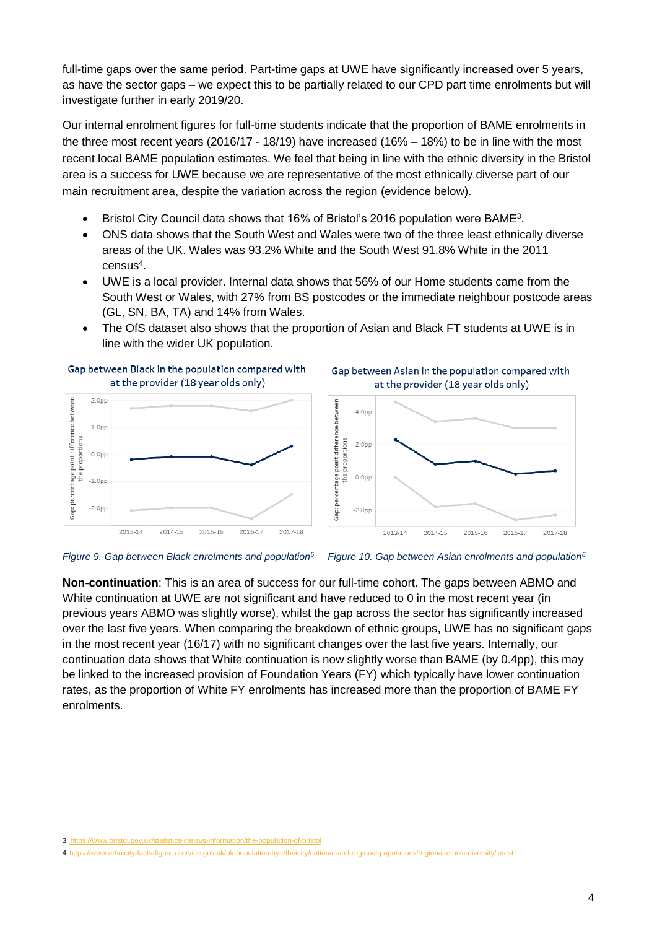full-time gaps over the same period. Part-time gaps at UWE have significantly increased over 5 years, as have the sector gaps – we expect this to be partially related to our CPD part time enrolments but will investigate further in early 2019/20.

Our internal enrolment figures for full-time students indicate that the proportion of BAME enrolments in the three most recent years (2016/17 - 18/19) have increased (16% – 18%) to be in line with the most recent local BAME population estimates. We feel that being in line with the ethnic diversity in the Bristol area is a success for UWE because we are representative of the most ethnically diverse part of our main recruitment area, despite the variation across the region (evidence below).

- Bristol City Council data shows that 16% of Bristol's 2016 population were BAME<sup>3</sup>.
- ONS data shows that the South West and Wales were two of the three least ethnically diverse areas of the UK. Wales was 93.2% White and the South West 91.8% White in the 2011 census<sup>4</sup>.
- UWE is a local provider. Internal data shows that 56% of our Home students came from the South West or Wales, with 27% from BS postcodes or the immediate neighbour postcode areas (GL, SN, BA, TA) and 14% from Wales.
- The OfS dataset also shows that the proportion of Asian and Black FT students at UWE is in line with the wider UK population.



*Figure 9. Gap between Black enrolments and population<sup>5</sup>*

![](_page_3_Figure_8.jpeg)

**Non-continuation**: This is an area of success for our full-time cohort. The gaps between ABMO and White continuation at UWE are not significant and have reduced to 0 in the most recent year (in previous years ABMO was slightly worse), whilst the gap across the sector has significantly increased over the last five years. When comparing the breakdown of ethnic groups, UWE has no significant gaps in the most recent year (16/17) with no significant changes over the last five years. Internally, our continuation data shows that White continuation is now slightly worse than BAME (by 0.4pp), this may be linked to the increased provision of Foundation Years (FY) which typically have lower continuation rates, as the proportion of White FY enrolments has increased more than the proportion of BAME FY enrolments.

<sup>1</sup> 3 <https://www.bristol.gov.uk/statistics-census-information/the-population-of-bristol>

<sup>4</sup> https://www.ethnicity-facts-figures.service.gov.uk/uk-population-bv-ethnicity/nation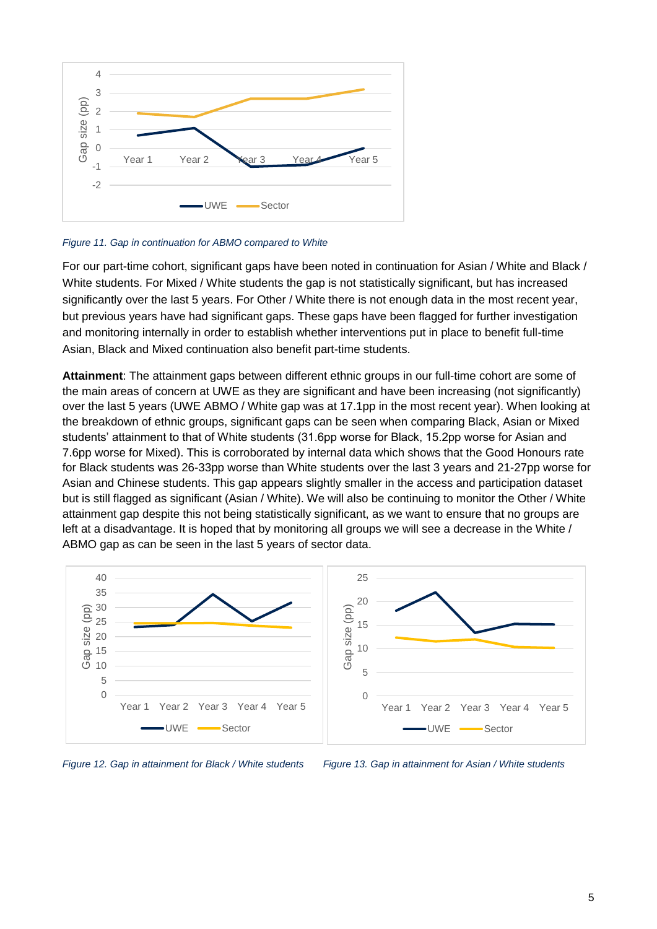![](_page_4_Figure_0.jpeg)

*Figure 11. Gap in continuation for ABMO compared to White*

For our part-time cohort, significant gaps have been noted in continuation for Asian / White and Black / White students. For Mixed / White students the gap is not statistically significant, but has increased significantly over the last 5 years. For Other / White there is not enough data in the most recent year, but previous years have had significant gaps. These gaps have been flagged for further investigation and monitoring internally in order to establish whether interventions put in place to benefit full-time Asian, Black and Mixed continuation also benefit part-time students.

**Attainment**: The attainment gaps between different ethnic groups in our full-time cohort are some of the main areas of concern at UWE as they are significant and have been increasing (not significantly) over the last 5 years (UWE ABMO / White gap was at 17.1pp in the most recent year). When looking at the breakdown of ethnic groups, significant gaps can be seen when comparing Black, Asian or Mixed students' attainment to that of White students (31.6pp worse for Black, 15.2pp worse for Asian and 7.6pp worse for Mixed). This is corroborated by internal data which shows that the Good Honours rate for Black students was 26-33pp worse than White students over the last 3 years and 21-27pp worse for Asian and Chinese students. This gap appears slightly smaller in the access and participation dataset but is still flagged as significant (Asian / White). We will also be continuing to monitor the Other / White attainment gap despite this not being statistically significant, as we want to ensure that no groups are left at a disadvantage. It is hoped that by monitoring all groups we will see a decrease in the White / ABMO gap as can be seen in the last 5 years of sector data.

![](_page_4_Figure_4.jpeg)

*Figure 12. Gap in attainment for Black / White students Figure 13. Gap in attainment for Asian / White students*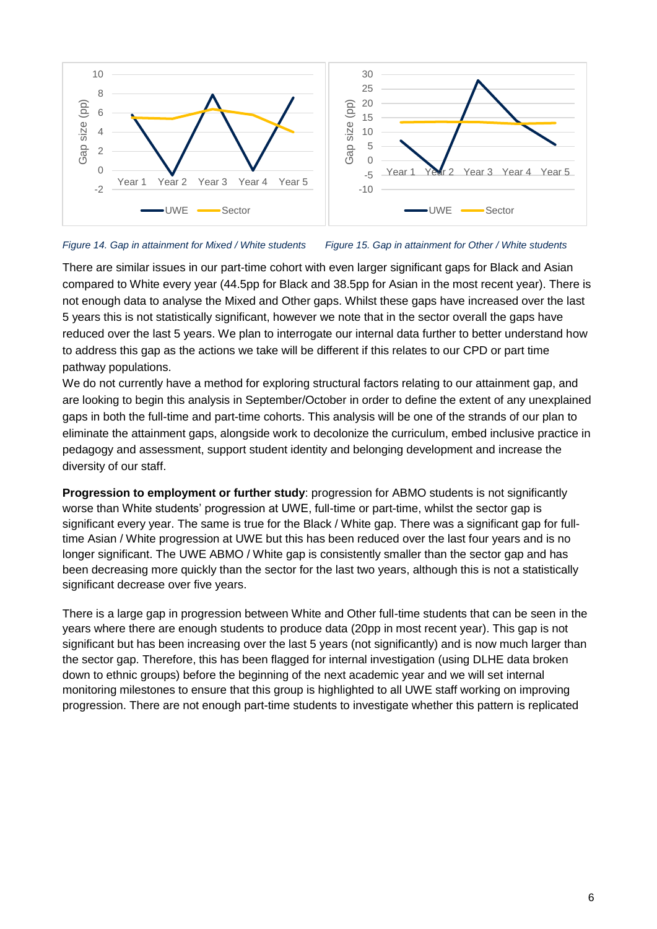![](_page_5_Figure_0.jpeg)

#### *Figure 14. Gap in attainment for Mixed / White students Figure 15. Gap in attainment for Other / White students*

There are similar issues in our part-time cohort with even larger significant gaps for Black and Asian compared to White every year (44.5pp for Black and 38.5pp for Asian in the most recent year). There is not enough data to analyse the Mixed and Other gaps. Whilst these gaps have increased over the last 5 years this is not statistically significant, however we note that in the sector overall the gaps have reduced over the last 5 years. We plan to interrogate our internal data further to better understand how to address this gap as the actions we take will be different if this relates to our CPD or part time pathway populations.

We do not currently have a method for exploring structural factors relating to our attainment gap, and are looking to begin this analysis in September/October in order to define the extent of any unexplained gaps in both the full-time and part-time cohorts. This analysis will be one of the strands of our plan to eliminate the attainment gaps, alongside work to decolonize the curriculum, embed inclusive practice in pedagogy and assessment, support student identity and belonging development and increase the diversity of our staff.

**Progression to employment or further study**: progression for ABMO students is not significantly worse than White students' progression at UWE, full-time or part-time, whilst the sector gap is significant every year. The same is true for the Black / White gap. There was a significant gap for fulltime Asian / White progression at UWE but this has been reduced over the last four years and is no longer significant. The UWE ABMO / White gap is consistently smaller than the sector gap and has been decreasing more quickly than the sector for the last two years, although this is not a statistically significant decrease over five years.

There is a large gap in progression between White and Other full-time students that can be seen in the years where there are enough students to produce data (20pp in most recent year). This gap is not significant but has been increasing over the last 5 years (not significantly) and is now much larger than the sector gap. Therefore, this has been flagged for internal investigation (using DLHE data broken down to ethnic groups) before the beginning of the next academic year and we will set internal monitoring milestones to ensure that this group is highlighted to all UWE staff working on improving progression. There are not enough part-time students to investigate whether this pattern is replicated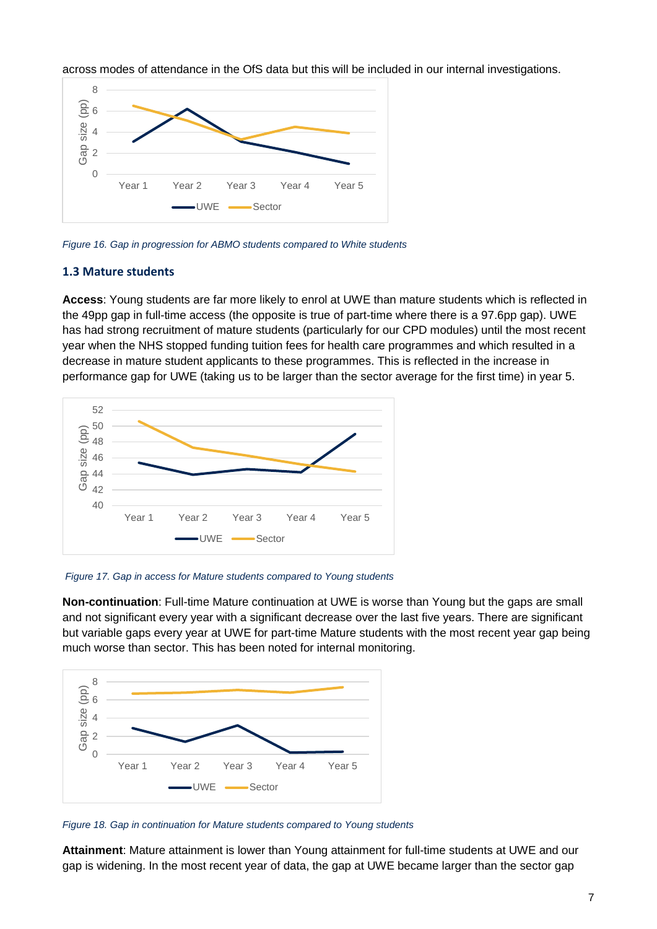across modes of attendance in the OfS data but this will be included in our internal investigations.

![](_page_6_Figure_1.jpeg)

*Figure 16. Gap in progression for ABMO students compared to White students*

#### **1.3 Mature students**

**Access**: Young students are far more likely to enrol at UWE than mature students which is reflected in the 49pp gap in full-time access (the opposite is true of part-time where there is a 97.6pp gap). UWE has had strong recruitment of mature students (particularly for our CPD modules) until the most recent year when the NHS stopped funding tuition fees for health care programmes and which resulted in a decrease in mature student applicants to these programmes. This is reflected in the increase in performance gap for UWE (taking us to be larger than the sector average for the first time) in year 5.

![](_page_6_Figure_5.jpeg)

*Figure 17. Gap in access for Mature students compared to Young students*

**Non-continuation**: Full-time Mature continuation at UWE is worse than Young but the gaps are small and not significant every year with a significant decrease over the last five years. There are significant but variable gaps every year at UWE for part-time Mature students with the most recent year gap being much worse than sector. This has been noted for internal monitoring.

![](_page_6_Figure_8.jpeg)

*Figure 18. Gap in continuation for Mature students compared to Young students*

**Attainment**: Mature attainment is lower than Young attainment for full-time students at UWE and our gap is widening. In the most recent year of data, the gap at UWE became larger than the sector gap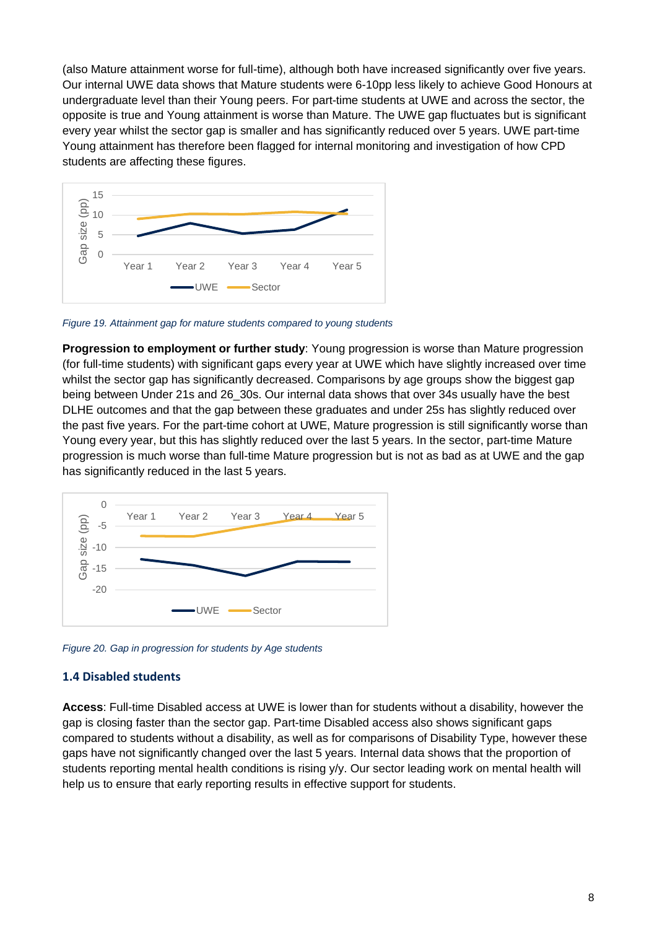(also Mature attainment worse for full-time), although both have increased significantly over five years. Our internal UWE data shows that Mature students were 6-10pp less likely to achieve Good Honours at undergraduate level than their Young peers. For part-time students at UWE and across the sector, the opposite is true and Young attainment is worse than Mature. The UWE gap fluctuates but is significant every year whilst the sector gap is smaller and has significantly reduced over 5 years. UWE part-time Young attainment has therefore been flagged for internal monitoring and investigation of how CPD students are affecting these figures.

![](_page_7_Figure_1.jpeg)

*Figure 19. Attainment gap for mature students compared to young students*

**Progression to employment or further study**: Young progression is worse than Mature progression (for full-time students) with significant gaps every year at UWE which have slightly increased over time whilst the sector gap has significantly decreased. Comparisons by age groups show the biggest gap being between Under 21s and 26\_30s. Our internal data shows that over 34s usually have the best DLHE outcomes and that the gap between these graduates and under 25s has slightly reduced over the past five years. For the part-time cohort at UWE, Mature progression is still significantly worse than Young every year, but this has slightly reduced over the last 5 years. In the sector, part-time Mature progression is much worse than full-time Mature progression but is not as bad as at UWE and the gap has significantly reduced in the last 5 years.

![](_page_7_Figure_4.jpeg)

*Figure 20. Gap in progression for students by Age students*

#### **1.4 Disabled students**

**Access**: Full-time Disabled access at UWE is lower than for students without a disability, however the gap is closing faster than the sector gap. Part-time Disabled access also shows significant gaps compared to students without a disability, as well as for comparisons of Disability Type, however these gaps have not significantly changed over the last 5 years. Internal data shows that the proportion of students reporting mental health conditions is rising y/y. Our sector leading work on mental health will help us to ensure that early reporting results in effective support for students.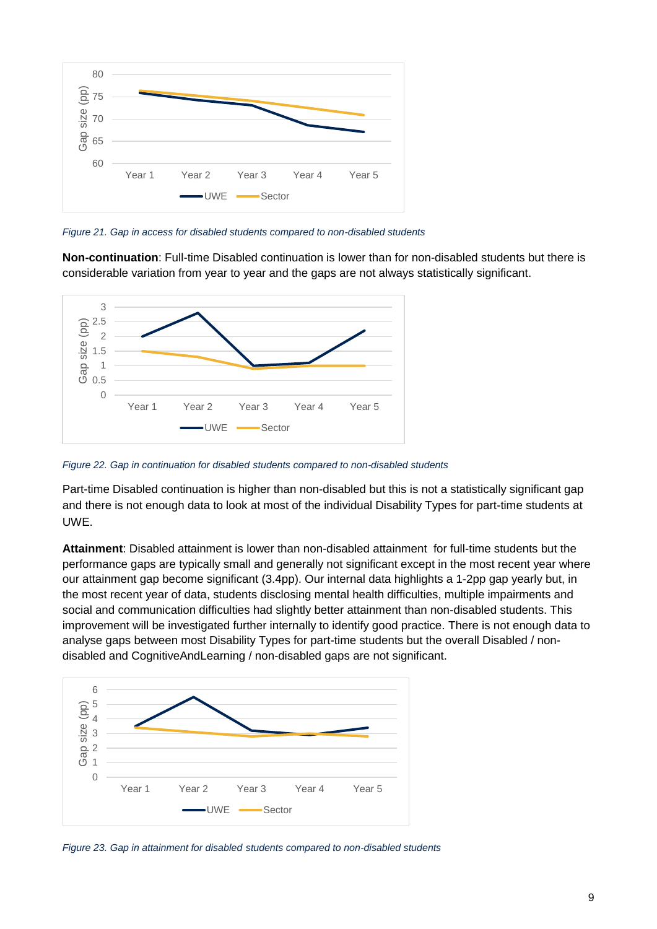![](_page_8_Figure_0.jpeg)

*Figure 21. Gap in access for disabled students compared to non-disabled students*

**Non-continuation**: Full-time Disabled continuation is lower than for non-disabled students but there is considerable variation from year to year and the gaps are not always statistically significant.

![](_page_8_Figure_3.jpeg)

*Figure 22. Gap in continuation for disabled students compared to non-disabled students*

Part-time Disabled continuation is higher than non-disabled but this is not a statistically significant gap and there is not enough data to look at most of the individual Disability Types for part-time students at UWE.

**Attainment**: Disabled attainment is lower than non-disabled attainment for full-time students but the performance gaps are typically small and generally not significant except in the most recent year where our attainment gap become significant (3.4pp). Our internal data highlights a 1-2pp gap yearly but, in the most recent year of data, students disclosing mental health difficulties, multiple impairments and social and communication difficulties had slightly better attainment than non-disabled students. This improvement will be investigated further internally to identify good practice. There is not enough data to analyse gaps between most Disability Types for part-time students but the overall Disabled / nondisabled and CognitiveAndLearning / non-disabled gaps are not significant.

![](_page_8_Figure_7.jpeg)

*Figure 23. Gap in attainment for disabled students compared to non-disabled students*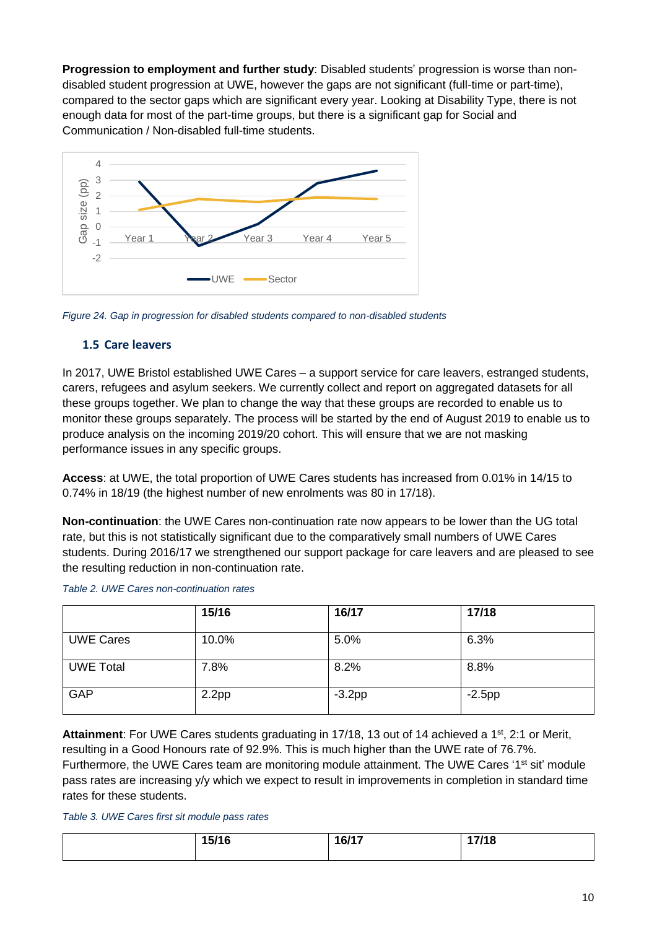**Progression to employment and further study**: Disabled students' progression is worse than nondisabled student progression at UWE, however the gaps are not significant (full-time or part-time), compared to the sector gaps which are significant every year. Looking at Disability Type, there is not enough data for most of the part-time groups, but there is a significant gap for Social and Communication / Non-disabled full-time students.

![](_page_9_Figure_1.jpeg)

*Figure 24. Gap in progression for disabled students compared to non-disabled students*

#### **1.5 Care leavers**

In 2017, UWE Bristol established UWE Cares – a support service for care leavers, estranged students, carers, refugees and asylum seekers. We currently collect and report on aggregated datasets for all these groups together. We plan to change the way that these groups are recorded to enable us to monitor these groups separately. The process will be started by the end of August 2019 to enable us to produce analysis on the incoming 2019/20 cohort. This will ensure that we are not masking performance issues in any specific groups.

**Access**: at UWE, the total proportion of UWE Cares students has increased from 0.01% in 14/15 to 0.74% in 18/19 (the highest number of new enrolments was 80 in 17/18).

**Non-continuation**: the UWE Cares non-continuation rate now appears to be lower than the UG total rate, but this is not statistically significant due to the comparatively small numbers of UWE Cares students. During 2016/17 we strengthened our support package for care leavers and are pleased to see the resulting reduction in non-continuation rate.

|                  | 15/16             | 16/17     | 17/18     |
|------------------|-------------------|-----------|-----------|
| <b>UWE Cares</b> | 10.0%             | 5.0%      | 6.3%      |
| <b>UWE Total</b> | 7.8%              | 8.2%      | 8.8%      |
| <b>GAP</b>       | 2.2 <sub>pp</sub> | $-3.2$ pp | $-2.5$ pp |

Attainment: For UWE Cares students graduating in 17/18, 13 out of 14 achieved a 1<sup>st</sup>, 2:1 or Merit, resulting in a Good Honours rate of 92.9%. This is much higher than the UWE rate of 76.7%. Furthermore, the UWE Cares team are monitoring module attainment. The UWE Cares '1<sup>st</sup> sit' module pass rates are increasing y/y which we expect to result in improvements in completion in standard time rates for these students.

#### *Table 3. UWE Cares first sit module pass rates*

| 15/16<br>ט ו וט ו | 16/17 | 17/18 |
|-------------------|-------|-------|
|                   |       |       |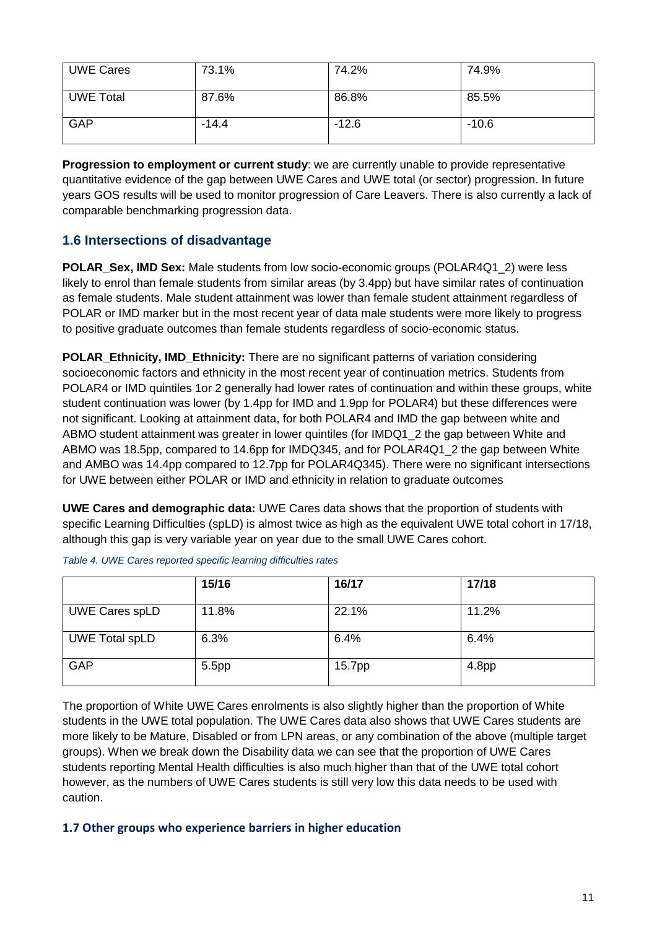| <b>UWE Cares</b> | 73.1%   | 74.2%   | 74.9%   |
|------------------|---------|---------|---------|
| <b>UWE Total</b> | 87.6%   | 86.8%   | 85.5%   |
| GAP              | $-14.4$ | $-12.6$ | $-10.6$ |

**Progression to employment or current study**: we are currently unable to provide representative quantitative evidence of the gap between UWE Cares and UWE total (or sector) progression. In future years GOS results will be used to monitor progression of Care Leavers. There is also currently a lack of comparable benchmarking progression data.

#### **1.6 Intersections of disadvantage**

**POLAR Sex, IMD Sex:** Male students from low socio-economic groups (POLAR4Q1\_2) were less likely to enrol than female students from similar areas (by 3.4pp) but have similar rates of continuation as female students. Male student attainment was lower than female student attainment regardless of POLAR or IMD marker but in the most recent year of data male students were more likely to progress to positive graduate outcomes than female students regardless of socio-economic status.

**POLAR\_Ethnicity, IMD\_Ethnicity:** There are no significant patterns of variation considering socioeconomic factors and ethnicity in the most recent year of continuation metrics. Students from POLAR4 or IMD quintiles 1or 2 generally had lower rates of continuation and within these groups, white student continuation was lower (by 1.4pp for IMD and 1.9pp for POLAR4) but these differences were not significant. Looking at attainment data, for both POLAR4 and IMD the gap between white and ABMO student attainment was greater in lower quintiles (for IMDQ1 2 the gap between White and ABMO was 18.5pp, compared to 14.6pp for IMDQ345, and for POLAR4Q1\_2 the gap between White and AMBO was 14.4pp compared to 12.7pp for POLAR4Q345). There were no significant intersections for UWE between either POLAR or IMD and ethnicity in relation to graduate outcomes

**UWE Cares and demographic data:** UWE Cares data shows that the proportion of students with specific Learning Difficulties (spLD) is almost twice as high as the equivalent UWE total cohort in 17/18, although this gap is very variable year on year due to the small UWE Cares cohort.

|                       | 15/16 | 16/17  | 17/18             |
|-----------------------|-------|--------|-------------------|
| <b>UWE Cares spLD</b> | 11.8% | 22.1%  | 11.2%             |
| <b>UWE Total spLD</b> | 6.3%  | 6.4%   | 6.4%              |
| GAP                   | 5.5pp | 15.7pp | 4.8 <sub>pp</sub> |

*Table 4. UWE Cares reported specific learning difficulties rates*

The proportion of White UWE Cares enrolments is also slightly higher than the proportion of White students in the UWE total population. The UWE Cares data also shows that UWE Cares students are more likely to be Mature, Disabled or from LPN areas, or any combination of the above (multiple target groups). When we break down the Disability data we can see that the proportion of UWE Cares students reporting Mental Health difficulties is also much higher than that of the UWE total cohort however, as the numbers of UWE Cares students is still very low this data needs to be used with caution.

#### **1.7 Other groups who experience barriers in higher education**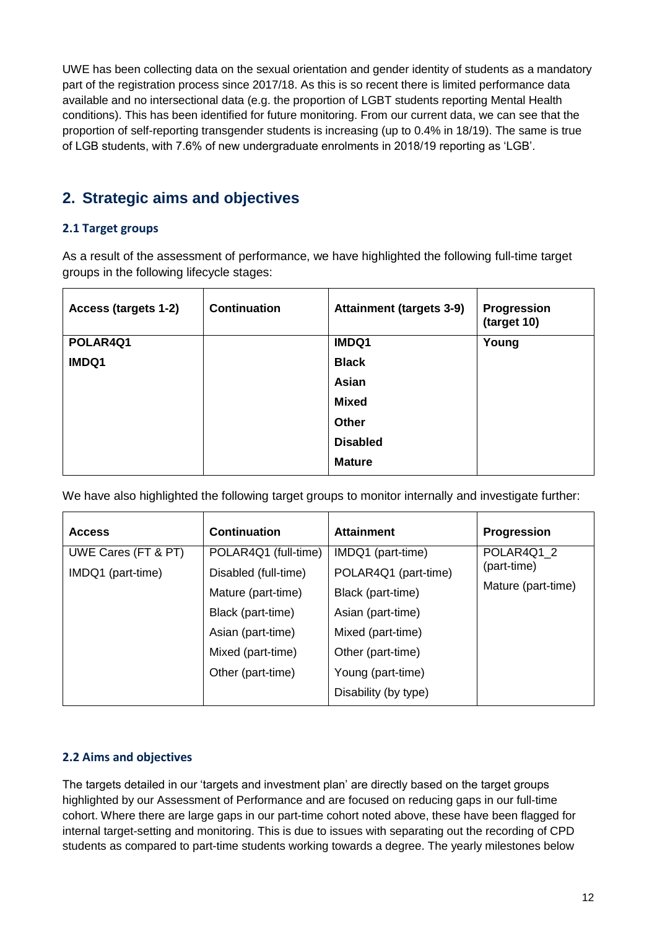UWE has been collecting data on the sexual orientation and gender identity of students as a mandatory part of the registration process since 2017/18. As this is so recent there is limited performance data available and no intersectional data (e.g. the proportion of LGBT students reporting Mental Health conditions). This has been identified for future monitoring. From our current data, we can see that the proportion of self-reporting transgender students is increasing (up to 0.4% in 18/19). The same is true of LGB students, with 7.6% of new undergraduate enrolments in 2018/19 reporting as 'LGB'.

### **2. Strategic aims and objectives**

#### **2.1 Target groups**

As a result of the assessment of performance, we have highlighted the following full-time target groups in the following lifecycle stages:

| Access (targets 1-2) | <b>Continuation</b> | <b>Attainment (targets 3-9)</b> | <b>Progression</b><br>(target 10) |
|----------------------|---------------------|---------------------------------|-----------------------------------|
| POLAR4Q1             |                     | IMDQ1                           | Young                             |
| IMDQ1                |                     | <b>Black</b>                    |                                   |
|                      |                     | Asian                           |                                   |
|                      |                     | <b>Mixed</b>                    |                                   |
|                      |                     | Other                           |                                   |
|                      |                     | <b>Disabled</b>                 |                                   |
|                      |                     | <b>Mature</b>                   |                                   |

We have also highlighted the following target groups to monitor internally and investigate further:

| <b>Access</b>       | <b>Continuation</b>  | <b>Attainment</b>    | <b>Progression</b> |
|---------------------|----------------------|----------------------|--------------------|
| UWE Cares (FT & PT) | POLAR4Q1 (full-time) | IMDQ1 (part-time)    |                    |
| IMDQ1 (part-time)   | Disabled (full-time) | POLAR4Q1 (part-time) | (part-time)        |
|                     | Mature (part-time)   | Black (part-time)    | Mature (part-time) |
|                     | Black (part-time)    | Asian (part-time)    |                    |
|                     | Asian (part-time)    | Mixed (part-time)    |                    |
|                     | Mixed (part-time)    | Other (part-time)    |                    |
|                     | Other (part-time)    | Young (part-time)    |                    |
|                     |                      | Disability (by type) |                    |

#### **2.2 Aims and objectives**

The targets detailed in our 'targets and investment plan' are directly based on the target groups highlighted by our Assessment of Performance and are focused on reducing gaps in our full-time cohort. Where there are large gaps in our part-time cohort noted above, these have been flagged for internal target-setting and monitoring. This is due to issues with separating out the recording of CPD students as compared to part-time students working towards a degree. The yearly milestones below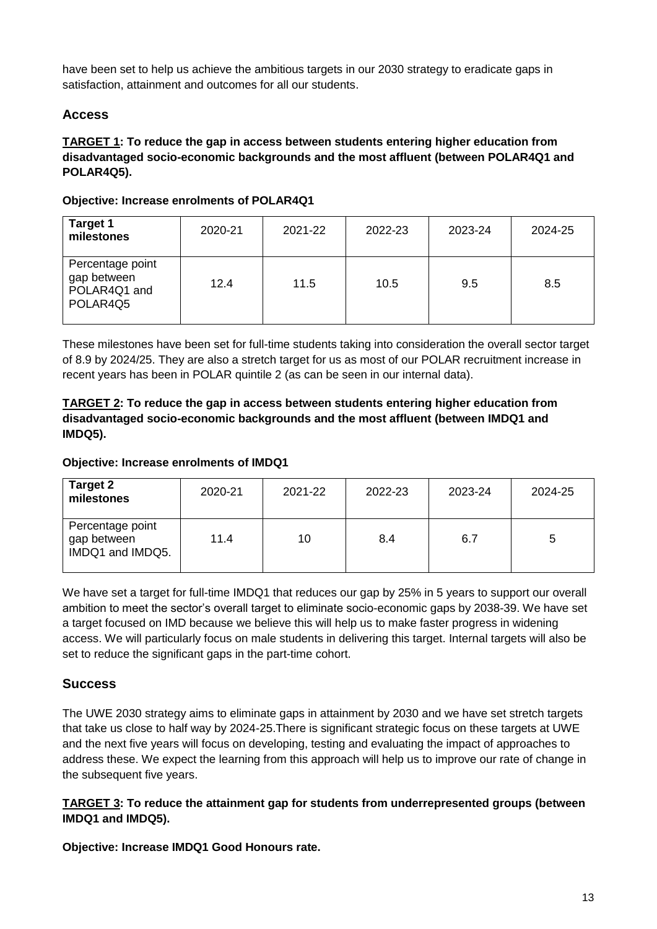have been set to help us achieve the ambitious targets in our 2030 strategy to eradicate gaps in satisfaction, attainment and outcomes for all our students.

#### **Access**

#### **TARGET 1: To reduce the gap in access between students entering higher education from disadvantaged socio-economic backgrounds and the most affluent (between POLAR4Q1 and POLAR4Q5).**

#### **Objective: Increase enrolments of POLAR4Q1**

| <b>Target 1</b><br>milestones                               | 2020-21 | 2021-22 | 2022-23 | 2023-24 | 2024-25 |
|-------------------------------------------------------------|---------|---------|---------|---------|---------|
| Percentage point<br>gap between<br>POLAR4Q1 and<br>POLAR4Q5 | 12.4    | 11.5    | 10.5    | 9.5     | 8.5     |

These milestones have been set for full-time students taking into consideration the overall sector target of 8.9 by 2024/25. They are also a stretch target for us as most of our POLAR recruitment increase in recent years has been in POLAR quintile 2 (as can be seen in our internal data).

#### **TARGET 2: To reduce the gap in access between students entering higher education from disadvantaged socio-economic backgrounds and the most affluent (between IMDQ1 and IMDQ5).**

#### **Objective: Increase enrolments of IMDQ1**

| Target 2<br>milestones                              | 2020-21 | 2021-22 | 2022-23 | 2023-24 | 2024-25 |
|-----------------------------------------------------|---------|---------|---------|---------|---------|
| Percentage point<br>gap between<br>IMDQ1 and IMDQ5. | 11.4    | 10      | 8.4     | 6.7     | 5       |

We have set a target for full-time IMDQ1 that reduces our gap by 25% in 5 years to support our overall ambition to meet the sector's overall target to eliminate socio-economic gaps by 2038-39. We have set a target focused on IMD because we believe this will help us to make faster progress in widening access. We will particularly focus on male students in delivering this target. Internal targets will also be set to reduce the significant gaps in the part-time cohort.

#### **Success**

The UWE 2030 strategy aims to eliminate gaps in attainment by 2030 and we have set stretch targets that take us close to half way by 2024-25.There is significant strategic focus on these targets at UWE and the next five years will focus on developing, testing and evaluating the impact of approaches to address these. We expect the learning from this approach will help us to improve our rate of change in the subsequent five years.

#### **TARGET 3: To reduce the attainment gap for students from underrepresented groups (between IMDQ1 and IMDQ5).**

**Objective: Increase IMDQ1 Good Honours rate.**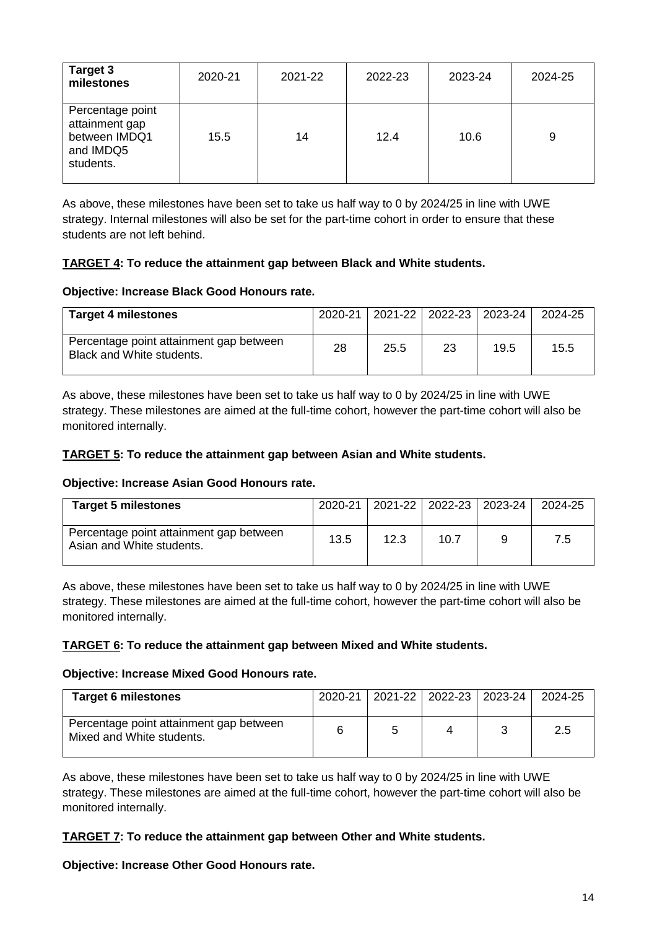| Target 3<br>milestones                                                        | 2020-21 | 2021-22 | 2022-23 | 2023-24 | 2024-25 |
|-------------------------------------------------------------------------------|---------|---------|---------|---------|---------|
| Percentage point<br>attainment gap<br>between IMDQ1<br>and IMDQ5<br>students. | 15.5    | 14      | 12.4    | 10.6    | 9       |

As above, these milestones have been set to take us half way to 0 by 2024/25 in line with UWE strategy. Internal milestones will also be set for the part-time cohort in order to ensure that these students are not left behind.

#### **TARGET 4: To reduce the attainment gap between Black and White students.**

#### **Objective: Increase Black Good Honours rate.**

| <b>Target 4 milestones</b>                                           | 2020-21 |      |    | 2021-22 2022-23 2023-24 | 2024-25 |
|----------------------------------------------------------------------|---------|------|----|-------------------------|---------|
| Percentage point attainment gap between<br>Black and White students. | 28      | 25.5 | 23 | 19.5                    | 15.5    |

As above, these milestones have been set to take us half way to 0 by 2024/25 in line with UWE strategy. These milestones are aimed at the full-time cohort, however the part-time cohort will also be monitored internally.

#### **TARGET 5: To reduce the attainment gap between Asian and White students.**

#### **Objective: Increase Asian Good Honours rate.**

| <b>Target 5 milestones</b>                                           | 2020-21 |      |      | 2021-22 2022-23 2023-24 | 2024-25 |
|----------------------------------------------------------------------|---------|------|------|-------------------------|---------|
| Percentage point attainment gap between<br>Asian and White students. | 13.5    | 12.3 | 10.7 |                         | 7.5     |

As above, these milestones have been set to take us half way to 0 by 2024/25 in line with UWE strategy. These milestones are aimed at the full-time cohort, however the part-time cohort will also be monitored internally.

#### **TARGET 6: To reduce the attainment gap between Mixed and White students.**

#### **Objective: Increase Mixed Good Honours rate.**

| <b>Target 6 milestones</b>                                           | 2020-21 |  | 2021-22 2022-23 2023-24 | 2024-25 |
|----------------------------------------------------------------------|---------|--|-------------------------|---------|
| Percentage point attainment gap between<br>Mixed and White students. |         |  |                         | 2.5     |

As above, these milestones have been set to take us half way to 0 by 2024/25 in line with UWE strategy. These milestones are aimed at the full-time cohort, however the part-time cohort will also be monitored internally.

#### **TARGET 7: To reduce the attainment gap between Other and White students.**

#### **Objective: Increase Other Good Honours rate.**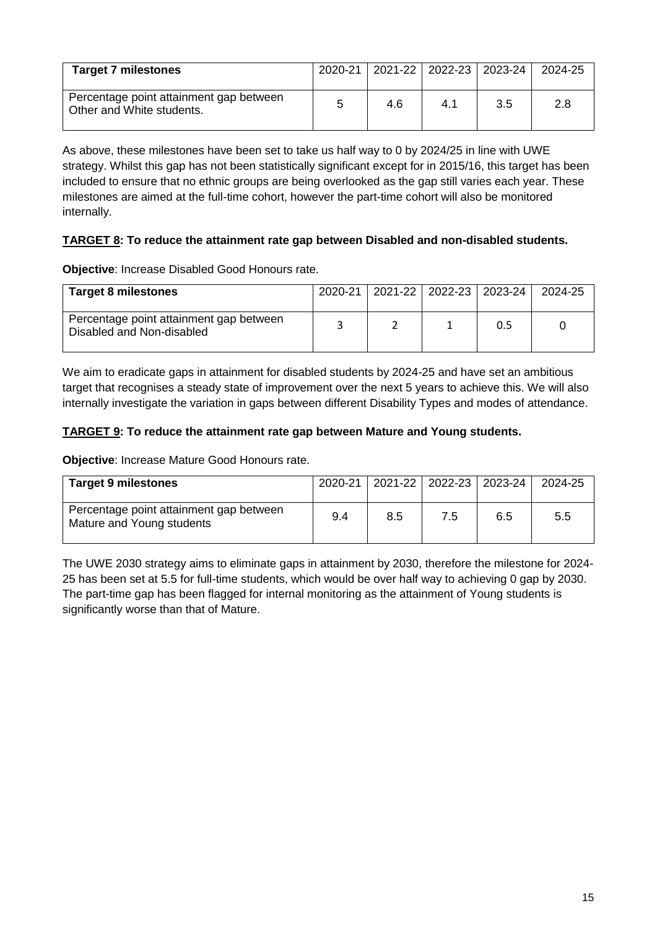| <b>Target 7 milestones</b>                                           |     |     | 2020-21   2021-22   2022-23   2023-24   2024-25 |     |
|----------------------------------------------------------------------|-----|-----|-------------------------------------------------|-----|
| Percentage point attainment gap between<br>Other and White students. | 4.6 | 4.1 | 3.5                                             | 2.8 |

As above, these milestones have been set to take us half way to 0 by 2024/25 in line with UWE strategy. Whilst this gap has not been statistically significant except for in 2015/16, this target has been included to ensure that no ethnic groups are being overlooked as the gap still varies each year. These milestones are aimed at the full-time cohort, however the part-time cohort will also be monitored internally.

#### **TARGET 8: To reduce the attainment rate gap between Disabled and non-disabled students.**

**Objective**: Increase Disabled Good Honours rate.

| <b>Target 8 milestones</b>                                           | 2020-21 |  | 2021-22   2022-23   2023-24 | 2024-25 |
|----------------------------------------------------------------------|---------|--|-----------------------------|---------|
| Percentage point attainment gap between<br>Disabled and Non-disabled |         |  | 0.5                         |         |

We aim to eradicate gaps in attainment for disabled students by 2024-25 and have set an ambitious target that recognises a steady state of improvement over the next 5 years to achieve this. We will also internally investigate the variation in gaps between different Disability Types and modes of attendance.

#### **TARGET 9: To reduce the attainment rate gap between Mature and Young students.**

**Objective**: Increase Mature Good Honours rate.

| <b>Target 9 milestones</b>                                           | 2020-21 |     |     | 2021-22 2022-23 2023-24 | 2024-25 |
|----------------------------------------------------------------------|---------|-----|-----|-------------------------|---------|
| Percentage point attainment gap between<br>Mature and Young students | 9.4     | 8.5 | 7.5 | 6.5                     | 5.5     |

The UWE 2030 strategy aims to eliminate gaps in attainment by 2030, therefore the milestone for 2024- 25 has been set at 5.5 for full-time students, which would be over half way to achieving 0 gap by 2030. The part-time gap has been flagged for internal monitoring as the attainment of Young students is significantly worse than that of Mature.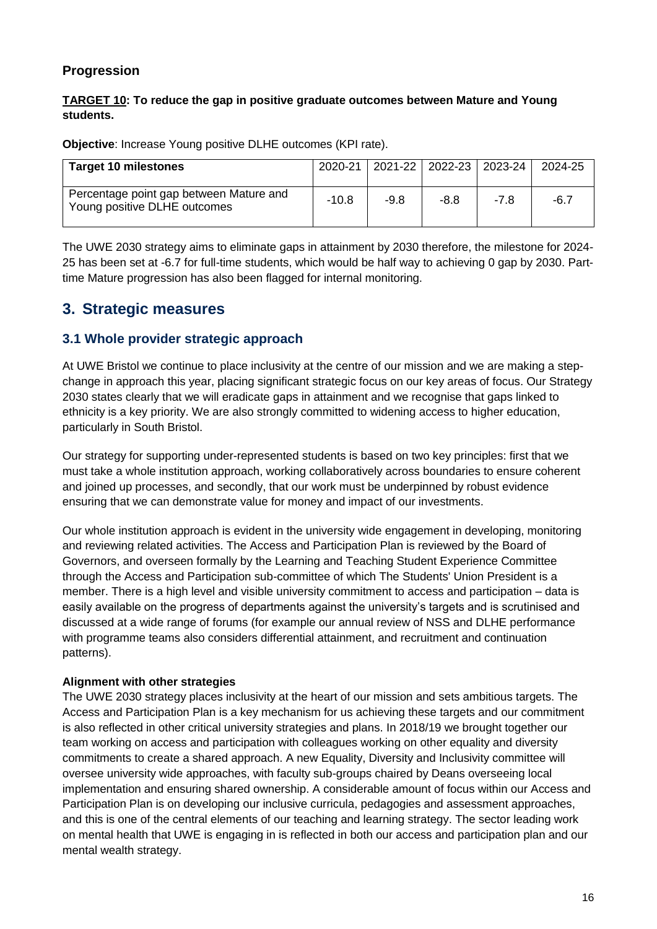#### **Progression**

#### **TARGET 10: To reduce the gap in positive graduate outcomes between Mature and Young students.**

**Objective**: Increase Young positive DLHE outcomes (KPI rate).

| <b>Target 10 milestones</b>                                             | 2020-21 |        |        | 2021-22   2022-23   2023-24 | 2024-25 |
|-------------------------------------------------------------------------|---------|--------|--------|-----------------------------|---------|
| Percentage point gap between Mature and<br>Young positive DLHE outcomes | $-10.8$ | $-9.8$ | $-8.8$ | -7 8                        | -6.7    |

The UWE 2030 strategy aims to eliminate gaps in attainment by 2030 therefore, the milestone for 2024- 25 has been set at -6.7 for full-time students, which would be half way to achieving 0 gap by 2030. Parttime Mature progression has also been flagged for internal monitoring.

#### **3. Strategic measures**

#### **3.1 Whole provider strategic approach**

At UWE Bristol we continue to place inclusivity at the centre of our mission and we are making a stepchange in approach this year, placing significant strategic focus on our key areas of focus. Our Strategy 2030 states clearly that we will eradicate gaps in attainment and we recognise that gaps linked to ethnicity is a key priority. We are also strongly committed to widening access to higher education, particularly in South Bristol.

Our strategy for supporting under-represented students is based on two key principles: first that we must take a whole institution approach, working collaboratively across boundaries to ensure coherent and joined up processes, and secondly, that our work must be underpinned by robust evidence ensuring that we can demonstrate value for money and impact of our investments.

Our whole institution approach is evident in the university wide engagement in developing, monitoring and reviewing related activities. The Access and Participation Plan is reviewed by the Board of Governors, and overseen formally by the Learning and Teaching Student Experience Committee through the Access and Participation sub-committee of which The Students' Union President is a member. There is a high level and visible university commitment to access and participation – data is easily available on the progress of departments against the university's targets and is scrutinised and discussed at a wide range of forums (for example our annual review of NSS and DLHE performance with programme teams also considers differential attainment, and recruitment and continuation patterns).

#### **Alignment with other strategies**

The UWE 2030 strategy places inclusivity at the heart of our mission and sets ambitious targets. The Access and Participation Plan is a key mechanism for us achieving these targets and our commitment is also reflected in other critical university strategies and plans. In 2018/19 we brought together our team working on access and participation with colleagues working on other equality and diversity commitments to create a shared approach. A new Equality, Diversity and Inclusivity committee will oversee university wide approaches, with faculty sub-groups chaired by Deans overseeing local implementation and ensuring shared ownership. A considerable amount of focus within our Access and Participation Plan is on developing our inclusive curricula, pedagogies and assessment approaches, and this is one of the central elements of our teaching and learning strategy. The sector leading work on mental health that UWE is engaging in is reflected in both our access and participation plan and our mental wealth strategy.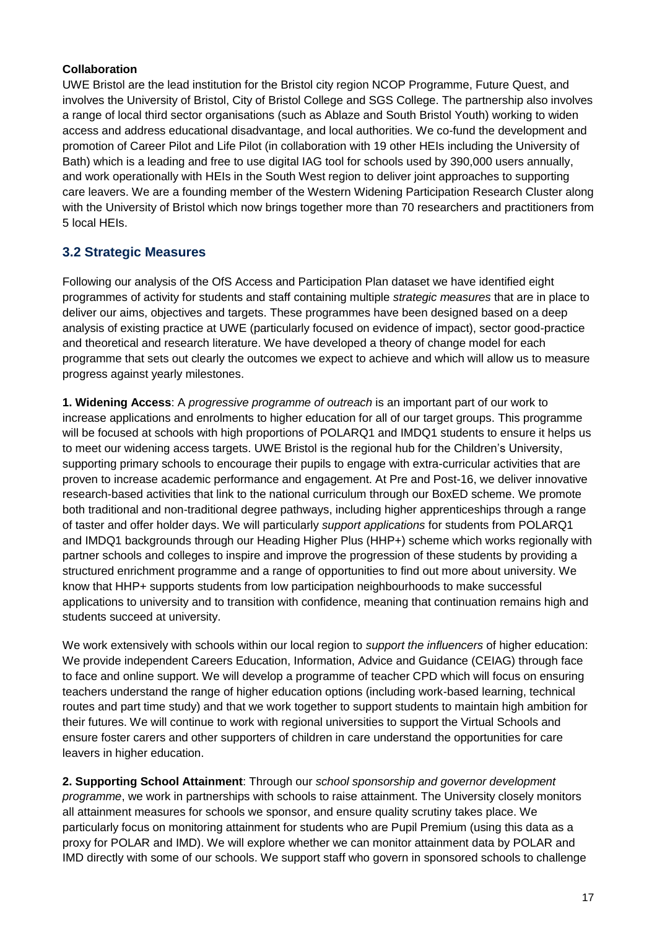#### **Collaboration**

UWE Bristol are the lead institution for the Bristol city region NCOP Programme, Future Quest, and involves the University of Bristol, City of Bristol College and SGS College. The partnership also involves a range of local third sector organisations (such as Ablaze and South Bristol Youth) working to widen access and address educational disadvantage, and local authorities. We co-fund the development and promotion of Career Pilot and Life Pilot (in collaboration with 19 other HEIs including the University of Bath) which is a leading and free to use digital IAG tool for schools used by 390,000 users annually, and work operationally with HEIs in the South West region to deliver joint approaches to supporting care leavers. We are a founding member of the Western Widening Participation Research Cluster along with the University of Bristol which now brings together more than 70 researchers and practitioners from 5 local HEIs.

#### **3.2 Strategic Measures**

Following our analysis of the OfS Access and Participation Plan dataset we have identified eight programmes of activity for students and staff containing multiple *strategic measures* that are in place to deliver our aims, objectives and targets. These programmes have been designed based on a deep analysis of existing practice at UWE (particularly focused on evidence of impact), sector good-practice and theoretical and research literature. We have developed a theory of change model for each programme that sets out clearly the outcomes we expect to achieve and which will allow us to measure progress against yearly milestones.

**1. Widening Access**: A *progressive programme of outreach* is an important part of our work to increase applications and enrolments to higher education for all of our target groups. This programme will be focused at schools with high proportions of POLARQ1 and IMDQ1 students to ensure it helps us to meet our widening access targets. UWE Bristol is the regional hub for the Children's University, supporting primary schools to encourage their pupils to engage with extra-curricular activities that are proven to increase academic performance and engagement. At Pre and Post-16, we deliver innovative research-based activities that link to the national curriculum through our BoxED scheme. We promote both traditional and non-traditional degree pathways, including higher apprenticeships through a range of taster and offer holder days. We will particularly *support applications* for students from POLARQ1 and IMDQ1 backgrounds through our Heading Higher Plus (HHP+) scheme which works regionally with partner schools and colleges to inspire and improve the progression of these students by providing a structured enrichment programme and a range of opportunities to find out more about university. We know that HHP+ supports students from low participation neighbourhoods to make successful applications to university and to transition with confidence, meaning that continuation remains high and students succeed at university.

We work extensively with schools within our local region to *support the influencers* of higher education: We provide independent Careers Education, Information, Advice and Guidance (CEIAG) through face to face and online support. We will develop a programme of teacher CPD which will focus on ensuring teachers understand the range of higher education options (including work-based learning, technical routes and part time study) and that we work together to support students to maintain high ambition for their futures. We will continue to work with regional universities to support the Virtual Schools and ensure foster carers and other supporters of children in care understand the opportunities for care leavers in higher education.

**2. Supporting School Attainment**: Through our *school sponsorship and governor development programme*, we work in partnerships with schools to raise attainment. The University closely monitors all attainment measures for schools we sponsor, and ensure quality scrutiny takes place. We particularly focus on monitoring attainment for students who are Pupil Premium (using this data as a proxy for POLAR and IMD). We will explore whether we can monitor attainment data by POLAR and IMD directly with some of our schools. We support staff who govern in sponsored schools to challenge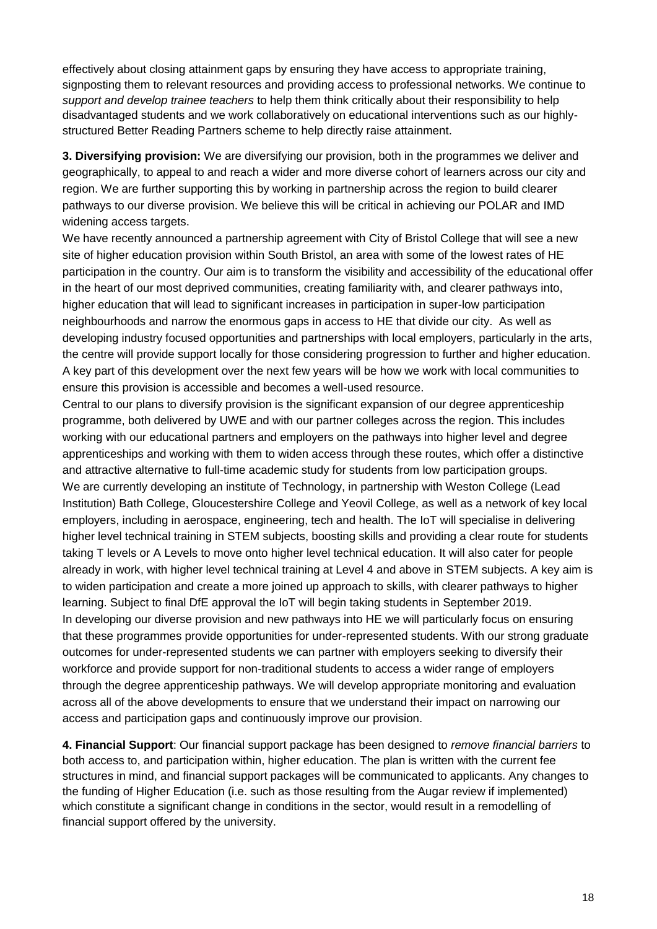effectively about closing attainment gaps by ensuring they have access to appropriate training, signposting them to relevant resources and providing access to professional networks. We continue to *support and develop trainee teachers* to help them think critically about their responsibility to help disadvantaged students and we work collaboratively on educational interventions such as our highlystructured Better Reading Partners scheme to help directly raise attainment.

**3. Diversifying provision:** We are diversifying our provision, both in the programmes we deliver and geographically, to appeal to and reach a wider and more diverse cohort of learners across our city and region. We are further supporting this by working in partnership across the region to build clearer pathways to our diverse provision. We believe this will be critical in achieving our POLAR and IMD widening access targets.

We have recently announced a partnership agreement with City of Bristol College that will see a new site of higher education provision within South Bristol, an area with some of the lowest rates of HE participation in the country. Our aim is to transform the visibility and accessibility of the educational offer in the heart of our most deprived communities, creating familiarity with, and clearer pathways into, higher education that will lead to significant increases in participation in super-low participation neighbourhoods and narrow the enormous gaps in access to HE that divide our city. As well as developing industry focused opportunities and partnerships with local employers, particularly in the arts, the centre will provide support locally for those considering progression to further and higher education. A key part of this development over the next few years will be how we work with local communities to ensure this provision is accessible and becomes a well-used resource.

Central to our plans to diversify provision is the significant expansion of our degree apprenticeship programme, both delivered by UWE and with our partner colleges across the region. This includes working with our educational partners and employers on the pathways into higher level and degree apprenticeships and working with them to widen access through these routes, which offer a distinctive and attractive alternative to full-time academic study for students from low participation groups. We are currently developing an institute of Technology, in partnership with Weston College (Lead Institution) Bath College, Gloucestershire College and Yeovil College, as well as a network of key local employers, including in aerospace, engineering, tech and health. The IoT will specialise in delivering higher level technical training in STEM subjects, boosting skills and providing a clear route for students taking T levels or A Levels to move onto higher level technical education. It will also cater for people already in work, with higher level technical training at Level 4 and above in STEM subjects. A key aim is to widen participation and create a more joined up approach to skills, with clearer pathways to higher learning. Subject to final DfE approval the IoT will begin taking students in September 2019. In developing our diverse provision and new pathways into HE we will particularly focus on ensuring that these programmes provide opportunities for under-represented students. With our strong graduate outcomes for under-represented students we can partner with employers seeking to diversify their workforce and provide support for non-traditional students to access a wider range of employers through the degree apprenticeship pathways. We will develop appropriate monitoring and evaluation across all of the above developments to ensure that we understand their impact on narrowing our access and participation gaps and continuously improve our provision.

**4. Financial Support**: Our financial support package has been designed to *remove financial barriers* to both access to, and participation within, higher education. The plan is written with the current fee structures in mind, and financial support packages will be communicated to applicants. Any changes to the funding of Higher Education (i.e. such as those resulting from the Augar review if implemented) which constitute a significant change in conditions in the sector, would result in a remodelling of financial support offered by the university.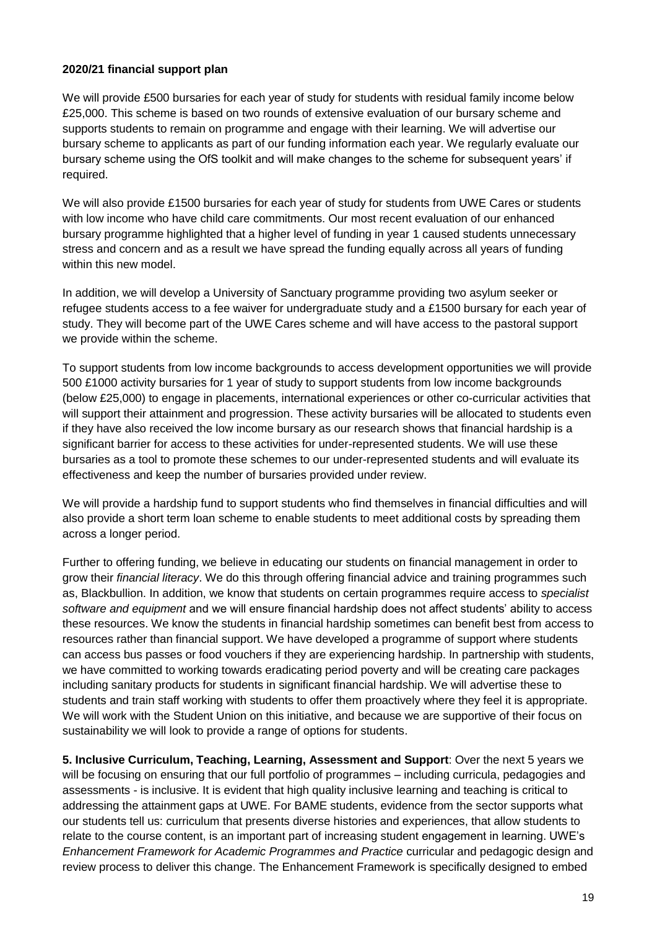#### **2020/21 financial support plan**

We will provide £500 bursaries for each year of study for students with residual family income below £25,000. This scheme is based on two rounds of extensive evaluation of our bursary scheme and supports students to remain on programme and engage with their learning. We will advertise our bursary scheme to applicants as part of our funding information each year. We regularly evaluate our bursary scheme using the OfS toolkit and will make changes to the scheme for subsequent years' if required.

We will also provide £1500 bursaries for each year of study for students from UWE Cares or students with low income who have child care commitments. Our most recent evaluation of our enhanced bursary programme highlighted that a higher level of funding in year 1 caused students unnecessary stress and concern and as a result we have spread the funding equally across all years of funding within this new model

In addition, we will develop a University of Sanctuary programme providing two asylum seeker or refugee students access to a fee waiver for undergraduate study and a £1500 bursary for each year of study. They will become part of the UWE Cares scheme and will have access to the pastoral support we provide within the scheme.

To support students from low income backgrounds to access development opportunities we will provide 500 £1000 activity bursaries for 1 year of study to support students from low income backgrounds (below £25,000) to engage in placements, international experiences or other co-curricular activities that will support their attainment and progression. These activity bursaries will be allocated to students even if they have also received the low income bursary as our research shows that financial hardship is a significant barrier for access to these activities for under-represented students. We will use these bursaries as a tool to promote these schemes to our under-represented students and will evaluate its effectiveness and keep the number of bursaries provided under review.

We will provide a hardship fund to support students who find themselves in financial difficulties and will also provide a short term loan scheme to enable students to meet additional costs by spreading them across a longer period.

Further to offering funding, we believe in educating our students on financial management in order to grow their *financial literacy*. We do this through offering financial advice and training programmes such as, Blackbullion. In addition, we know that students on certain programmes require access to *specialist software and equipment* and we will ensure financial hardship does not affect students' ability to access these resources. We know the students in financial hardship sometimes can benefit best from access to resources rather than financial support. We have developed a programme of support where students can access bus passes or food vouchers if they are experiencing hardship. In partnership with students, we have committed to working towards eradicating period poverty and will be creating care packages including sanitary products for students in significant financial hardship. We will advertise these to students and train staff working with students to offer them proactively where they feel it is appropriate. We will work with the Student Union on this initiative, and because we are supportive of their focus on sustainability we will look to provide a range of options for students.

**5. Inclusive Curriculum, Teaching, Learning, Assessment and Support**: Over the next 5 years we will be focusing on ensuring that our full portfolio of programmes – including curricula, pedagogies and assessments - is inclusive. It is evident that high quality inclusive learning and teaching is critical to addressing the attainment gaps at UWE. For BAME students, evidence from the sector supports what our students tell us: curriculum that presents diverse histories and experiences, that allow students to relate to the course content, is an important part of increasing student engagement in learning. UWE's *Enhancement Framework for Academic Programmes and Practice* curricular and pedagogic design and review process to deliver this change. The Enhancement Framework is specifically designed to embed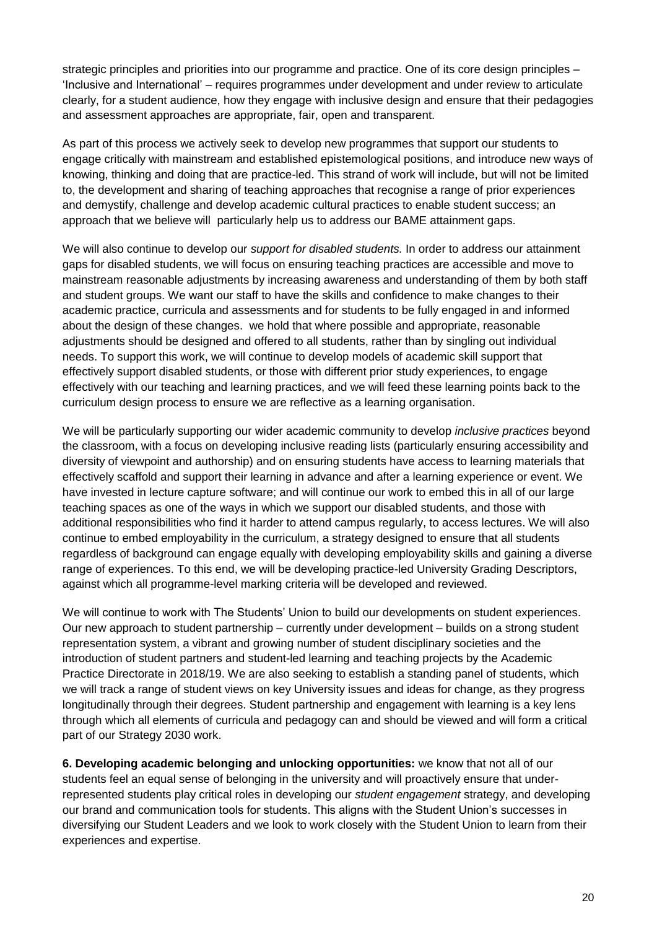strategic principles and priorities into our programme and practice. One of its core design principles – 'Inclusive and International' – requires programmes under development and under review to articulate clearly, for a student audience, how they engage with inclusive design and ensure that their pedagogies and assessment approaches are appropriate, fair, open and transparent.

As part of this process we actively seek to develop new programmes that support our students to engage critically with mainstream and established epistemological positions, and introduce new ways of knowing, thinking and doing that are practice-led. This strand of work will include, but will not be limited to, the development and sharing of teaching approaches that recognise a range of prior experiences and demystify, challenge and develop academic cultural practices to enable student success; an approach that we believe will particularly help us to address our BAME attainment gaps.

We will also continue to develop our *support for disabled students.* In order to address our attainment gaps for disabled students, we will focus on ensuring teaching practices are accessible and move to mainstream reasonable adjustments by increasing awareness and understanding of them by both staff and student groups. We want our staff to have the skills and confidence to make changes to their academic practice, curricula and assessments and for students to be fully engaged in and informed about the design of these changes. we hold that where possible and appropriate, reasonable adjustments should be designed and offered to all students, rather than by singling out individual needs. To support this work, we will continue to develop models of academic skill support that effectively support disabled students, or those with different prior study experiences, to engage effectively with our teaching and learning practices, and we will feed these learning points back to the curriculum design process to ensure we are reflective as a learning organisation.

We will be particularly supporting our wider academic community to develop *inclusive practices* beyond the classroom, with a focus on developing inclusive reading lists (particularly ensuring accessibility and diversity of viewpoint and authorship) and on ensuring students have access to learning materials that effectively scaffold and support their learning in advance and after a learning experience or event. We have invested in lecture capture software; and will continue our work to embed this in all of our large teaching spaces as one of the ways in which we support our disabled students, and those with additional responsibilities who find it harder to attend campus regularly, to access lectures. We will also continue to embed employability in the curriculum, a strategy designed to ensure that all students regardless of background can engage equally with developing employability skills and gaining a diverse range of experiences. To this end, we will be developing practice-led University Grading Descriptors, against which all programme-level marking criteria will be developed and reviewed.

We will continue to work with The Students' Union to build our developments on student experiences. Our new approach to student partnership – currently under development – builds on a strong student representation system, a vibrant and growing number of student disciplinary societies and the introduction of student partners and student-led learning and teaching projects by the Academic Practice Directorate in 2018/19. We are also seeking to establish a standing panel of students, which we will track a range of student views on key University issues and ideas for change, as they progress longitudinally through their degrees. Student partnership and engagement with learning is a key lens through which all elements of curricula and pedagogy can and should be viewed and will form a critical part of our Strategy 2030 work.

**6. Developing academic belonging and unlocking opportunities:** we know that not all of our students feel an equal sense of belonging in the university and will proactively ensure that underrepresented students play critical roles in developing our *student engagement* strategy, and developing our brand and communication tools for students. This aligns with the Student Union's successes in diversifying our Student Leaders and we look to work closely with the Student Union to learn from their experiences and expertise.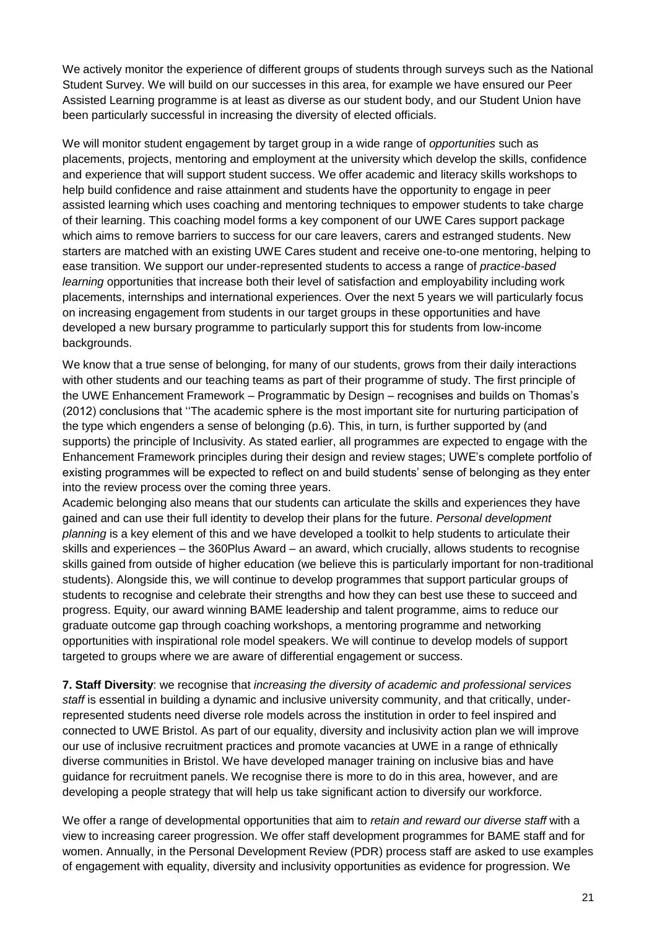We actively monitor the experience of different groups of students through surveys such as the National Student Survey. We will build on our successes in this area, for example we have ensured our Peer Assisted Learning programme is at least as diverse as our student body, and our Student Union have been particularly successful in increasing the diversity of elected officials.

We will monitor student engagement by target group in a wide range of *opportunities* such as placements, projects, mentoring and employment at the university which develop the skills, confidence and experience that will support student success. We offer academic and literacy skills workshops to help build confidence and raise attainment and students have the opportunity to engage in peer assisted learning which uses coaching and mentoring techniques to empower students to take charge of their learning. This coaching model forms a key component of our UWE Cares support package which aims to remove barriers to success for our care leavers, carers and estranged students. New starters are matched with an existing UWE Cares student and receive one-to-one mentoring, helping to ease transition. We support our under-represented students to access a range of *practice-based learning* opportunities that increase both their level of satisfaction and employability including work placements, internships and international experiences. Over the next 5 years we will particularly focus on increasing engagement from students in our target groups in these opportunities and have developed a new bursary programme to particularly support this for students from low-income backgrounds.

We know that a true sense of belonging, for many of our students, grows from their daily interactions with other students and our teaching teams as part of their programme of study. The first principle of the UWE Enhancement Framework – Programmatic by Design – recognises and builds on Thomas's (2012) conclusions that ''The academic sphere is the most important site for nurturing participation of the type which engenders a sense of belonging (p.6). This, in turn, is further supported by (and supports) the principle of Inclusivity. As stated earlier, all programmes are expected to engage with the Enhancement Framework principles during their design and review stages; UWE's complete portfolio of existing programmes will be expected to reflect on and build students' sense of belonging as they enter into the review process over the coming three years.

Academic belonging also means that our students can articulate the skills and experiences they have gained and can use their full identity to develop their plans for the future. *Personal development planning* is a key element of this and we have developed a toolkit to help students to articulate their skills and experiences – the 360Plus Award – an award, which crucially, allows students to recognise skills gained from outside of higher education (we believe this is particularly important for non-traditional students). Alongside this, we will continue to develop programmes that support particular groups of students to recognise and celebrate their strengths and how they can best use these to succeed and progress. Equity, our award winning BAME leadership and talent programme, aims to reduce our graduate outcome gap through coaching workshops, a mentoring programme and networking opportunities with inspirational role model speakers. We will continue to develop models of support targeted to groups where we are aware of differential engagement or success.

**7. Staff Diversity**: we recognise that *increasing the diversity of academic and professional services*  staff is essential in building a dynamic and inclusive university community, and that critically, underrepresented students need diverse role models across the institution in order to feel inspired and connected to UWE Bristol. As part of our equality, diversity and inclusivity action plan we will improve our use of inclusive recruitment practices and promote vacancies at UWE in a range of ethnically diverse communities in Bristol. We have developed manager training on inclusive bias and have guidance for recruitment panels. We recognise there is more to do in this area, however, and are developing a people strategy that will help us take significant action to diversify our workforce.

We offer a range of developmental opportunities that aim to *retain and reward our diverse staff* with a view to increasing career progression. We offer staff development programmes for BAME staff and for women. Annually, in the Personal Development Review (PDR) process staff are asked to use examples of engagement with equality, diversity and inclusivity opportunities as evidence for progression. We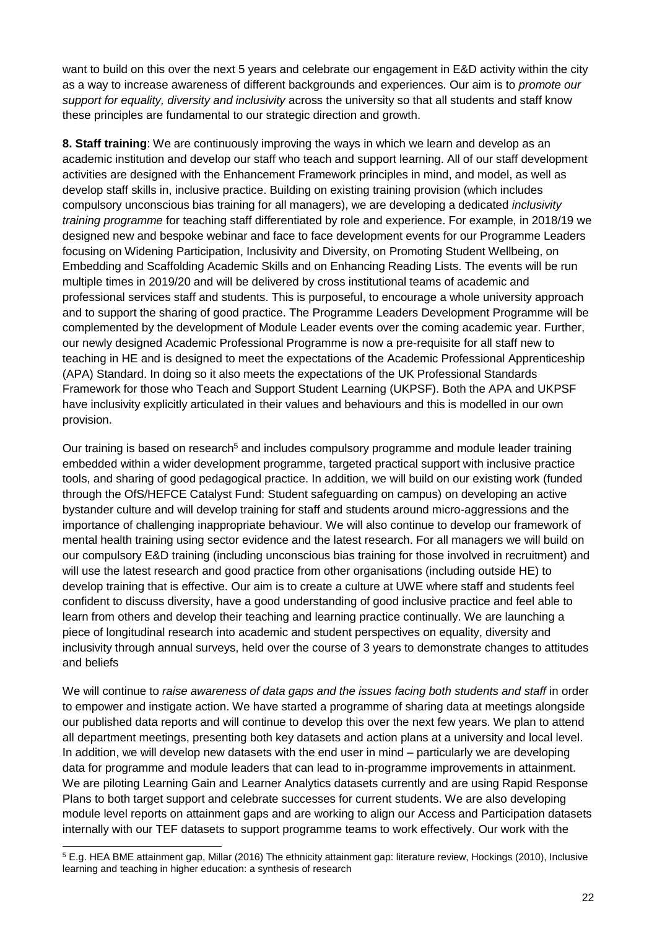want to build on this over the next 5 years and celebrate our engagement in E&D activity within the city as a way to increase awareness of different backgrounds and experiences. Our aim is to *promote our support for equality, diversity and inclusivity* across the university so that all students and staff know these principles are fundamental to our strategic direction and growth.

**8. Staff training**: We are continuously improving the ways in which we learn and develop as an academic institution and develop our staff who teach and support learning. All of our staff development activities are designed with the Enhancement Framework principles in mind, and model, as well as develop staff skills in, inclusive practice. Building on existing training provision (which includes compulsory unconscious bias training for all managers), we are developing a dedicated *inclusivity training programme* for teaching staff differentiated by role and experience. For example, in 2018/19 we designed new and bespoke webinar and face to face development events for our Programme Leaders focusing on Widening Participation, Inclusivity and Diversity, on Promoting Student Wellbeing, on Embedding and Scaffolding Academic Skills and on Enhancing Reading Lists. The events will be run multiple times in 2019/20 and will be delivered by cross institutional teams of academic and professional services staff and students. This is purposeful, to encourage a whole university approach and to support the sharing of good practice. The Programme Leaders Development Programme will be complemented by the development of Module Leader events over the coming academic year. Further, our newly designed Academic Professional Programme is now a pre-requisite for all staff new to teaching in HE and is designed to meet the expectations of the Academic Professional Apprenticeship (APA) Standard. In doing so it also meets the expectations of the UK Professional Standards Framework for those who Teach and Support Student Learning (UKPSF). Both the APA and UKPSF have inclusivity explicitly articulated in their values and behaviours and this is modelled in our own provision.

Our training is based on research<sup>5</sup> and includes compulsory programme and module leader training embedded within a wider development programme, targeted practical support with inclusive practice tools, and sharing of good pedagogical practice. In addition, we will build on our existing work (funded through the OfS/HEFCE Catalyst Fund: Student safeguarding on campus) on developing an active bystander culture and will develop training for staff and students around micro-aggressions and the importance of challenging inappropriate behaviour. We will also continue to develop our framework of mental health training using sector evidence and the latest research. For all managers we will build on our compulsory E&D training (including unconscious bias training for those involved in recruitment) and will use the latest research and good practice from other organisations (including outside HE) to develop training that is effective. Our aim is to create a culture at UWE where staff and students feel confident to discuss diversity, have a good understanding of good inclusive practice and feel able to learn from others and develop their teaching and learning practice continually. We are launching a piece of longitudinal research into academic and student perspectives on equality, diversity and inclusivity through annual surveys, held over the course of 3 years to demonstrate changes to attitudes and beliefs

We will continue to *raise awareness of data gaps and the issues facing both students and staff* in order to empower and instigate action. We have started a programme of sharing data at meetings alongside our published data reports and will continue to develop this over the next few years. We plan to attend all department meetings, presenting both key datasets and action plans at a university and local level. In addition, we will develop new datasets with the end user in mind – particularly we are developing data for programme and module leaders that can lead to in-programme improvements in attainment. We are piloting Learning Gain and Learner Analytics datasets currently and are using Rapid Response Plans to both target support and celebrate successes for current students. We are also developing module level reports on attainment gaps and are working to align our Access and Participation datasets internally with our TEF datasets to support programme teams to work effectively. Our work with the

-

<sup>5</sup> E.g. HEA BME attainment gap, Millar (2016) The ethnicity attainment gap: literature review, Hockings (2010), Inclusive learning and teaching in higher education: a synthesis of research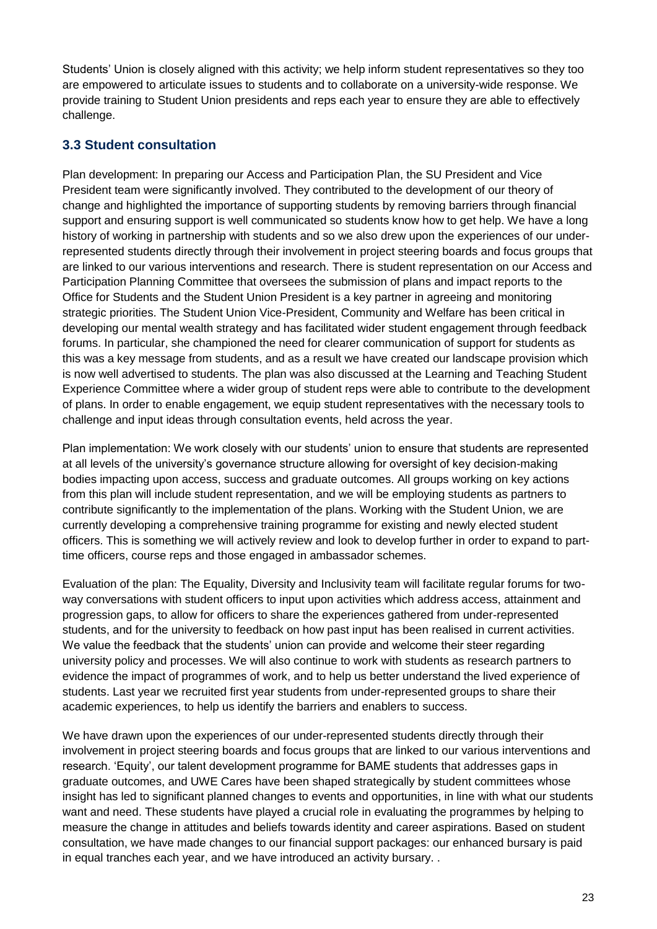Students' Union is closely aligned with this activity; we help inform student representatives so they too are empowered to articulate issues to students and to collaborate on a university-wide response. We provide training to Student Union presidents and reps each year to ensure they are able to effectively challenge.

#### **3.3 Student consultation**

Plan development: In preparing our Access and Participation Plan, the SU President and Vice President team were significantly involved. They contributed to the development of our theory of change and highlighted the importance of supporting students by removing barriers through financial support and ensuring support is well communicated so students know how to get help. We have a long history of working in partnership with students and so we also drew upon the experiences of our underrepresented students directly through their involvement in project steering boards and focus groups that are linked to our various interventions and research. There is student representation on our Access and Participation Planning Committee that oversees the submission of plans and impact reports to the Office for Students and the Student Union President is a key partner in agreeing and monitoring strategic priorities. The Student Union Vice-President, Community and Welfare has been critical in developing our mental wealth strategy and has facilitated wider student engagement through feedback forums. In particular, she championed the need for clearer communication of support for students as this was a key message from students, and as a result we have created our landscape provision which is now well advertised to students. The plan was also discussed at the Learning and Teaching Student Experience Committee where a wider group of student reps were able to contribute to the development of plans. In order to enable engagement, we equip student representatives with the necessary tools to challenge and input ideas through consultation events, held across the year.

Plan implementation: We work closely with our students' union to ensure that students are represented at all levels of the university's governance structure allowing for oversight of key decision-making bodies impacting upon access, success and graduate outcomes. All groups working on key actions from this plan will include student representation, and we will be employing students as partners to contribute significantly to the implementation of the plans. Working with the Student Union, we are currently developing a comprehensive training programme for existing and newly elected student officers. This is something we will actively review and look to develop further in order to expand to parttime officers, course reps and those engaged in ambassador schemes.

Evaluation of the plan: The Equality, Diversity and Inclusivity team will facilitate regular forums for twoway conversations with student officers to input upon activities which address access, attainment and progression gaps, to allow for officers to share the experiences gathered from under-represented students, and for the university to feedback on how past input has been realised in current activities. We value the feedback that the students' union can provide and welcome their steer regarding university policy and processes. We will also continue to work with students as research partners to evidence the impact of programmes of work, and to help us better understand the lived experience of students. Last year we recruited first year students from under-represented groups to share their academic experiences, to help us identify the barriers and enablers to success.

We have drawn upon the experiences of our under-represented students directly through their involvement in project steering boards and focus groups that are linked to our various interventions and research. 'Equity', our talent development programme for BAME students that addresses gaps in graduate outcomes, and UWE Cares have been shaped strategically by student committees whose insight has led to significant planned changes to events and opportunities, in line with what our students want and need. These students have played a crucial role in evaluating the programmes by helping to measure the change in attitudes and beliefs towards identity and career aspirations. Based on student consultation, we have made changes to our financial support packages: our enhanced bursary is paid in equal tranches each year, and we have introduced an activity bursary. .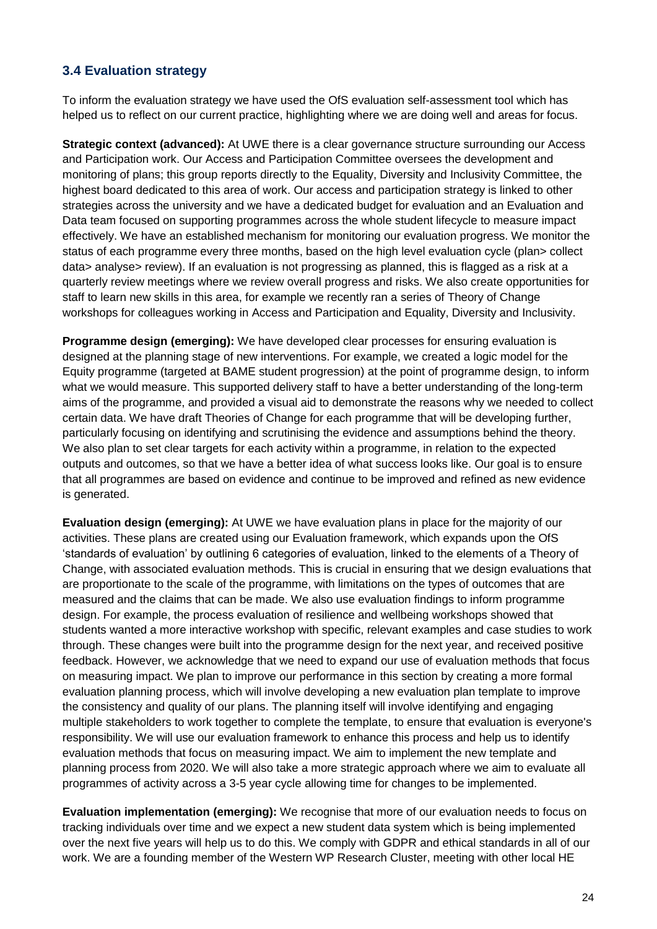#### **3.4 Evaluation strategy**

To inform the evaluation strategy we have used the OfS evaluation self-assessment tool which has helped us to reflect on our current practice, highlighting where we are doing well and areas for focus.

**Strategic context (advanced):** At UWE there is a clear governance structure surrounding our Access and Participation work. Our Access and Participation Committee oversees the development and monitoring of plans; this group reports directly to the Equality, Diversity and Inclusivity Committee, the highest board dedicated to this area of work. Our access and participation strategy is linked to other strategies across the university and we have a dedicated budget for evaluation and an Evaluation and Data team focused on supporting programmes across the whole student lifecycle to measure impact effectively. We have an established mechanism for monitoring our evaluation progress. We monitor the status of each programme every three months, based on the high level evaluation cycle (plan> collect data> analyse> review). If an evaluation is not progressing as planned, this is flagged as a risk at a quarterly review meetings where we review overall progress and risks. We also create opportunities for staff to learn new skills in this area, for example we recently ran a series of Theory of Change workshops for colleagues working in Access and Participation and Equality, Diversity and Inclusivity.

**Programme design (emerging):** We have developed clear processes for ensuring evaluation is designed at the planning stage of new interventions. For example, we created a logic model for the Equity programme (targeted at BAME student progression) at the point of programme design, to inform what we would measure. This supported delivery staff to have a better understanding of the long-term aims of the programme, and provided a visual aid to demonstrate the reasons why we needed to collect certain data. We have draft Theories of Change for each programme that will be developing further, particularly focusing on identifying and scrutinising the evidence and assumptions behind the theory. We also plan to set clear targets for each activity within a programme, in relation to the expected outputs and outcomes, so that we have a better idea of what success looks like. Our goal is to ensure that all programmes are based on evidence and continue to be improved and refined as new evidence is generated.

**Evaluation design (emerging):** At UWE we have evaluation plans in place for the majority of our activities. These plans are created using our Evaluation framework, which expands upon the OfS 'standards of evaluation' by outlining 6 categories of evaluation, linked to the elements of a Theory of Change, with associated evaluation methods. This is crucial in ensuring that we design evaluations that are proportionate to the scale of the programme, with limitations on the types of outcomes that are measured and the claims that can be made. We also use evaluation findings to inform programme design. For example, the process evaluation of resilience and wellbeing workshops showed that students wanted a more interactive workshop with specific, relevant examples and case studies to work through. These changes were built into the programme design for the next year, and received positive feedback. However, we acknowledge that we need to expand our use of evaluation methods that focus on measuring impact. We plan to improve our performance in this section by creating a more formal evaluation planning process, which will involve developing a new evaluation plan template to improve the consistency and quality of our plans. The planning itself will involve identifying and engaging multiple stakeholders to work together to complete the template, to ensure that evaluation is everyone's responsibility. We will use our evaluation framework to enhance this process and help us to identify evaluation methods that focus on measuring impact. We aim to implement the new template and planning process from 2020. We will also take a more strategic approach where we aim to evaluate all programmes of activity across a 3-5 year cycle allowing time for changes to be implemented.

**Evaluation implementation (emerging):** We recognise that more of our evaluation needs to focus on tracking individuals over time and we expect a new student data system which is being implemented over the next five years will help us to do this. We comply with GDPR and ethical standards in all of our work. We are a founding member of the Western WP Research Cluster, meeting with other local HE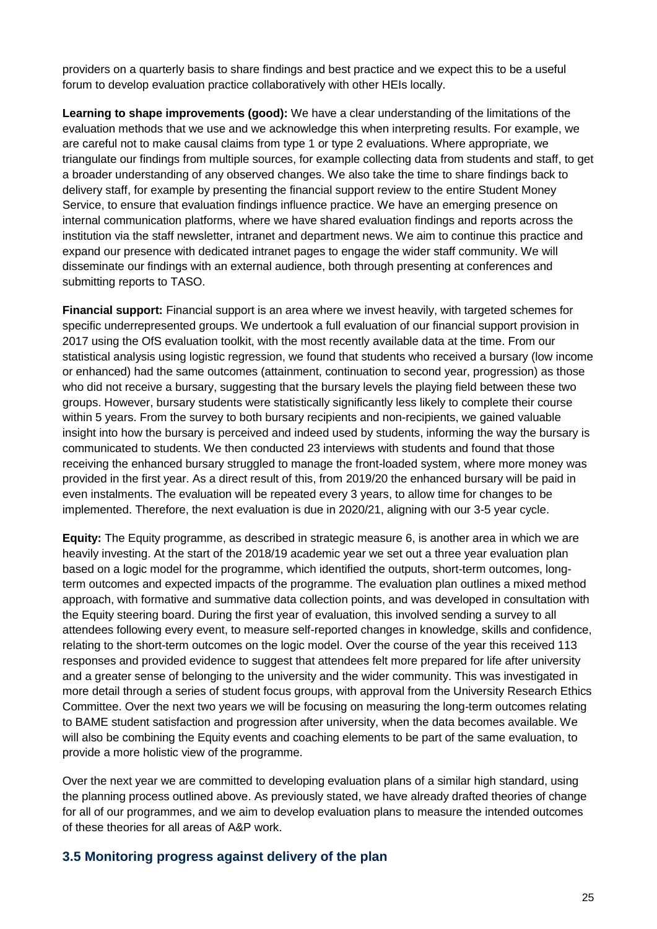providers on a quarterly basis to share findings and best practice and we expect this to be a useful forum to develop evaluation practice collaboratively with other HEIs locally.

**Learning to shape improvements (good):** We have a clear understanding of the limitations of the evaluation methods that we use and we acknowledge this when interpreting results. For example, we are careful not to make causal claims from type 1 or type 2 evaluations. Where appropriate, we triangulate our findings from multiple sources, for example collecting data from students and staff, to get a broader understanding of any observed changes. We also take the time to share findings back to delivery staff, for example by presenting the financial support review to the entire Student Money Service, to ensure that evaluation findings influence practice. We have an emerging presence on internal communication platforms, where we have shared evaluation findings and reports across the institution via the staff newsletter, intranet and department news. We aim to continue this practice and expand our presence with dedicated intranet pages to engage the wider staff community. We will disseminate our findings with an external audience, both through presenting at conferences and submitting reports to TASO.

**Financial support:** Financial support is an area where we invest heavily, with targeted schemes for specific underrepresented groups. We undertook a full evaluation of our financial support provision in 2017 using the OfS evaluation toolkit, with the most recently available data at the time. From our statistical analysis using logistic regression, we found that students who received a bursary (low income or enhanced) had the same outcomes (attainment, continuation to second year, progression) as those who did not receive a bursary, suggesting that the bursary levels the playing field between these two groups. However, bursary students were statistically significantly less likely to complete their course within 5 years. From the survey to both bursary recipients and non-recipients, we gained valuable insight into how the bursary is perceived and indeed used by students, informing the way the bursary is communicated to students. We then conducted 23 interviews with students and found that those receiving the enhanced bursary struggled to manage the front-loaded system, where more money was provided in the first year. As a direct result of this, from 2019/20 the enhanced bursary will be paid in even instalments. The evaluation will be repeated every 3 years, to allow time for changes to be implemented. Therefore, the next evaluation is due in 2020/21, aligning with our 3-5 year cycle.

**Equity:** The Equity programme, as described in strategic measure 6, is another area in which we are heavily investing. At the start of the 2018/19 academic year we set out a three year evaluation plan based on a logic model for the programme, which identified the outputs, short-term outcomes, longterm outcomes and expected impacts of the programme. The evaluation plan outlines a mixed method approach, with formative and summative data collection points, and was developed in consultation with the Equity steering board. During the first year of evaluation, this involved sending a survey to all attendees following every event, to measure self-reported changes in knowledge, skills and confidence, relating to the short-term outcomes on the logic model. Over the course of the year this received 113 responses and provided evidence to suggest that attendees felt more prepared for life after university and a greater sense of belonging to the university and the wider community. This was investigated in more detail through a series of student focus groups, with approval from the University Research Ethics Committee. Over the next two years we will be focusing on measuring the long-term outcomes relating to BAME student satisfaction and progression after university, when the data becomes available. We will also be combining the Equity events and coaching elements to be part of the same evaluation, to provide a more holistic view of the programme.

Over the next year we are committed to developing evaluation plans of a similar high standard, using the planning process outlined above. As previously stated, we have already drafted theories of change for all of our programmes, and we aim to develop evaluation plans to measure the intended outcomes of these theories for all areas of A&P work.

#### **3.5 Monitoring progress against delivery of the plan**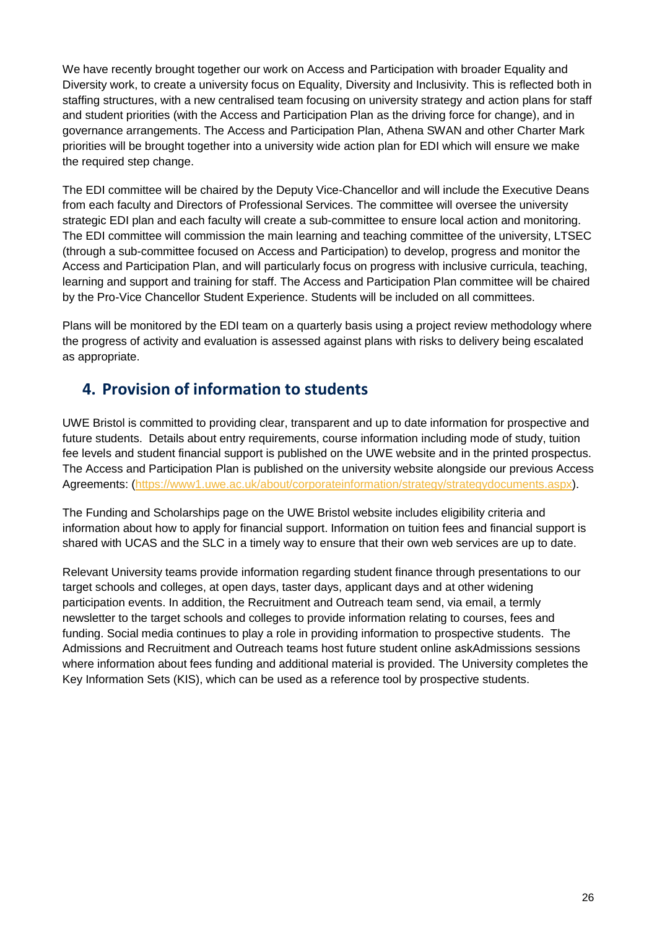We have recently brought together our work on Access and Participation with broader Equality and Diversity work, to create a university focus on Equality, Diversity and Inclusivity. This is reflected both in staffing structures, with a new centralised team focusing on university strategy and action plans for staff and student priorities (with the Access and Participation Plan as the driving force for change), and in governance arrangements. The Access and Participation Plan, Athena SWAN and other Charter Mark priorities will be brought together into a university wide action plan for EDI which will ensure we make the required step change.

The EDI committee will be chaired by the Deputy Vice-Chancellor and will include the Executive Deans from each faculty and Directors of Professional Services. The committee will oversee the university strategic EDI plan and each faculty will create a sub-committee to ensure local action and monitoring. The EDI committee will commission the main learning and teaching committee of the university, LTSEC (through a sub-committee focused on Access and Participation) to develop, progress and monitor the Access and Participation Plan, and will particularly focus on progress with inclusive curricula, teaching, learning and support and training for staff. The Access and Participation Plan committee will be chaired by the Pro-Vice Chancellor Student Experience. Students will be included on all committees.

Plans will be monitored by the EDI team on a quarterly basis using a project review methodology where the progress of activity and evaluation is assessed against plans with risks to delivery being escalated as appropriate.

### **4. Provision of information to students**

UWE Bristol is committed to providing clear, transparent and up to date information for prospective and future students. Details about entry requirements, course information including mode of study, tuition fee levels and student financial support is published on the UWE website and in the printed prospectus. The Access and Participation Plan is published on the university website alongside our previous Access Agreements: [\(https://www1.uwe.ac.uk/about/corporateinformation/strategy/strategydocuments.aspx\)](https://www1.uwe.ac.uk/about/corporateinformation/strategy/strategydocuments.aspx).

The Funding and Scholarships page on the UWE Bristol website includes eligibility criteria and information about how to apply for financial support. Information on tuition fees and financial support is shared with UCAS and the SLC in a timely way to ensure that their own web services are up to date.

Relevant University teams provide information regarding student finance through presentations to our target schools and colleges, at open days, taster days, applicant days and at other widening participation events. In addition, the Recruitment and Outreach team send, via email, a termly newsletter to the target schools and colleges to provide information relating to courses, fees and funding. Social media continues to play a role in providing information to prospective students. The Admissions and Recruitment and Outreach teams host future student online askAdmissions sessions where information about fees funding and additional material is provided. The University completes the Key Information Sets (KIS), which can be used as a reference tool by prospective students.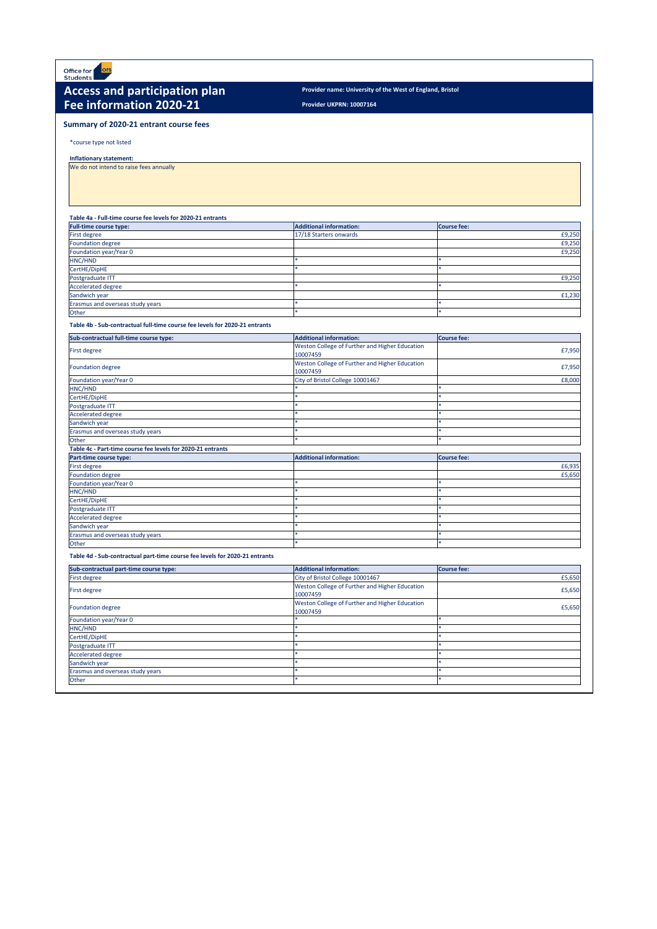**Provider UKPRN: 10007164**

\*course type not listed

**Inflationary statement:** 

We do not intend to raise fees annually

### **Table 4a - Full-time course fee levels for 2020-21 entrants**

| <b>Full-time course type:</b>    | <b>Additional information:</b> | Course fee: |
|----------------------------------|--------------------------------|-------------|
| <b>First degree</b>              | 17/18 Starters onwards         | £9,250      |
| Foundation degree                |                                | £9,250      |
| Foundation year/Year 0           |                                | £9,250      |
| HNC/HND                          |                                |             |
| CertHE/DipHE                     |                                |             |
| Postgraduate ITT                 |                                | £9,250      |
| Accelerated degree               |                                |             |
| Sandwich year                    |                                | £1,230      |
| Erasmus and overseas study years |                                |             |
| Other                            |                                |             |

**Table 4b - Sub-contractual full-time course fee levels for 2020-21 entrants**

![](_page_26_Picture_0.jpeg)

## Access and participation plan **Provider name: University of the West of England, Bristol Fee information 2020-21**

| Sub-contractual full-time course type:                      | <b>Additional information:</b>                             | <b>Course fee:</b> |
|-------------------------------------------------------------|------------------------------------------------------------|--------------------|
| <b>First degree</b>                                         | Weston College of Further and Higher Education<br>10007459 | £7,950             |
| <b>Foundation degree</b>                                    | Weston College of Further and Higher Education<br>10007459 | £7,950             |
| Foundation year/Year 0                                      | City of Bristol College 10001467                           | £8,000             |
| HNC/HND                                                     |                                                            | ×.                 |
| CertHE/DipHE                                                |                                                            | $\ast$             |
| Postgraduate ITT                                            |                                                            | $\ast$             |
| Accelerated degree                                          |                                                            | $\ast$             |
| Sandwich year                                               |                                                            | $\ast$             |
| Erasmus and overseas study years                            |                                                            | $\ast$             |
| Other                                                       | sk.                                                        | $\ast$             |
| Table 4c - Part-time course fee levels for 2020-21 entrants |                                                            |                    |
| Part-time course type:                                      | <b>Additional information:</b>                             | <b>Course fee:</b> |
| First degree                                                |                                                            | £6,935             |
| <b>Foundation degree</b>                                    |                                                            | £5,650             |
| Foundation year/Year 0                                      |                                                            | $\ast$             |
| HNC/HND                                                     |                                                            | $\ast$             |
| CertHE/DipHE                                                |                                                            | $\ast$             |
| Postgraduate ITT                                            |                                                            | $\ast$             |
| <b>Accelerated degree</b>                                   |                                                            | $\ast$             |
| Sandwich year                                               |                                                            | $\ast$             |
| Erasmus and overseas study years                            |                                                            | $\ast$             |
| Other                                                       |                                                            | $\ast$             |

**Table 4d - Sub-contractual part-time course fee levels for 2020-21 entrants**

| Sub-contractual part-time course type: | <b>Additional information:</b>                 | <b>Course fee:</b> |
|----------------------------------------|------------------------------------------------|--------------------|
| <b>First degree</b>                    | City of Bristol College 10001467               | £5,650             |
| <b>First degree</b>                    | Weston College of Further and Higher Education | £5,650             |
|                                        | 10007459                                       |                    |
| <b>Foundation degree</b>               | Weston College of Further and Higher Education | £5,650             |
|                                        | 10007459                                       |                    |
| Foundation year/Year 0                 |                                                |                    |
| HNC/HND                                |                                                |                    |
| CertHE/DipHE                           |                                                |                    |
| Postgraduate ITT                       |                                                |                    |
| <b>Accelerated degree</b>              |                                                |                    |
| Sandwich year                          |                                                |                    |
| Erasmus and overseas study years       |                                                |                    |
| Other                                  |                                                |                    |

## **Summary of 2020-21 entrant course fees**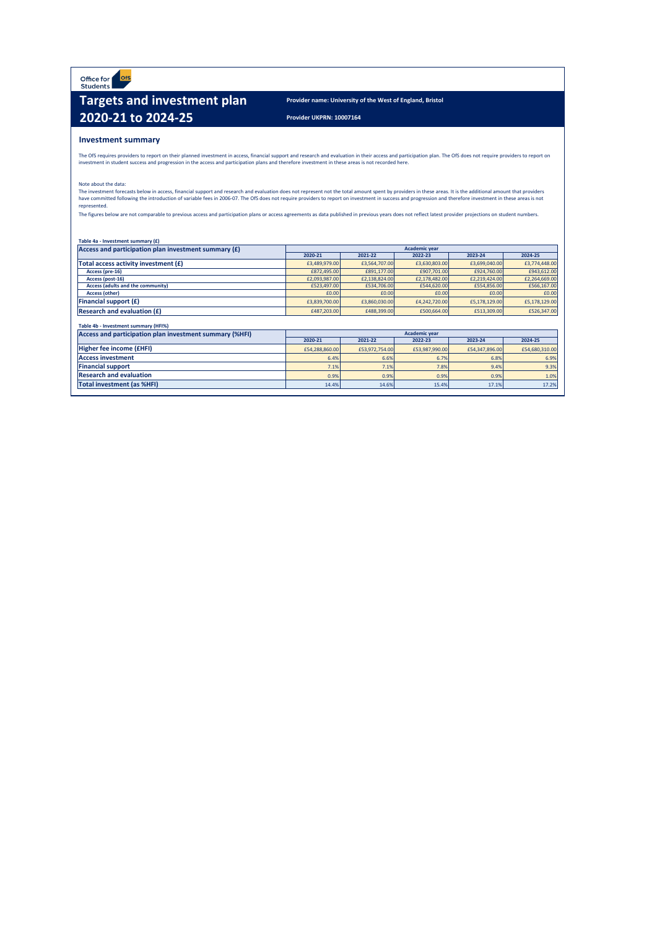Office for ofs<br>Students

## **Targets and investment plan Provider name: University of the West of England, Bristol 2020-21 to 2024-25 Provider UKPRN: 10007164**

## **Investment summary**

| Table 4a - Investment summary (£) |
|-----------------------------------|
|-----------------------------------|

The OfS requires providers to report on their planned investment in access, financial support and research and evaluation in their access and participation plan. The OfS does not require providers to report on investment in student success and progression in the access and participation plans and therefore investment in these areas is not recorded here.

The investment forecasts below in access, financial support and research and evaluation does not represent not the total amount spent by providers in these areas. It is the additional amount that providers have committed following the introduction of variable fees in 2006-07. The OfS does not require providers to report on investment in success and progression and therefore investment in these areas is not represented.

The figures below are not comparable to previous access and participation plans or access agreements as data published in previous years does not reflect latest provider projections on student numbers.

| Access and participation plan investment summary $(f)$ | <b>Academic year</b> |               |               |               |               |
|--------------------------------------------------------|----------------------|---------------|---------------|---------------|---------------|
|                                                        | 2020-21              | 2021-22       | 2022-23       | 2023-24       | 2024-25       |
| Total access activity investment (£)                   | £3,489,979.00        | £3,564,707.00 | £3,630,803.00 | £3,699,040.00 | £3,774,448.00 |
| Access (pre-16)                                        | £872,495.00          | £891,177.00   | £907,701.00   | £924,760.00   | £943,612.00   |
| Access (post-16)                                       | £2,093,987.00        | £2,138,824.00 | £2,178,482.00 | £2,219,424.00 | £2,264,669.00 |
| <b>Access (adults and the community)</b>               | £523,497.00          | £534,706.00   | £544,620.00   | £554,856.00   | £566,167.00   |
| <b>Access (other)</b>                                  | £0.00                | £0.00         | £0.00         | £0.00         | £0.00         |
| <b>Financial support <math>(f)</math></b>              | £3,839,700.00        | £3,860,030.00 | £4,242,720.00 | £5,178,129.00 | £5,178,129.00 |
| <b>Research and evaluation <math>(f)</math></b>        | £487,203.00          | £488,399.00   | £500,664.00   | £513,309.00   | £526,347.00   |

Note about the data:

| Table 4b - Investment summary (HFI%)                           |                                          |                |                      |                |                |
|----------------------------------------------------------------|------------------------------------------|----------------|----------------------|----------------|----------------|
| <b>Access and participation plan investment summary (%HFI)</b> |                                          |                | <b>Academic year</b> |                |                |
|                                                                | 2020-21<br>2021-22<br>2022-23<br>2023-24 |                |                      |                | 2024-25        |
| <b>Higher fee income (£HFI)</b>                                | £54,288,860.00                           | £53,972,754.00 | £53,987,990.00       | £54,347,896.00 | £54,680,310.00 |
| <b>Access investment</b>                                       | 6.4%                                     | 6.6%           | 6.7%                 | 6.8%           | 6.9%           |
| <b>Financial support</b>                                       | 7.1%                                     | 7.1%           | $7.8\%$              | 9.4%           | 9.3%           |
| <b>Research and evaluation</b>                                 | 0.9%                                     | 0.9%           | 0.9%                 | 0.9%           | 1.0%           |
| <b>Total investment (as %HFI)</b>                              | 14.4%                                    | 14.6%          | 15.4%                | 17.1%          | 17.2%          |